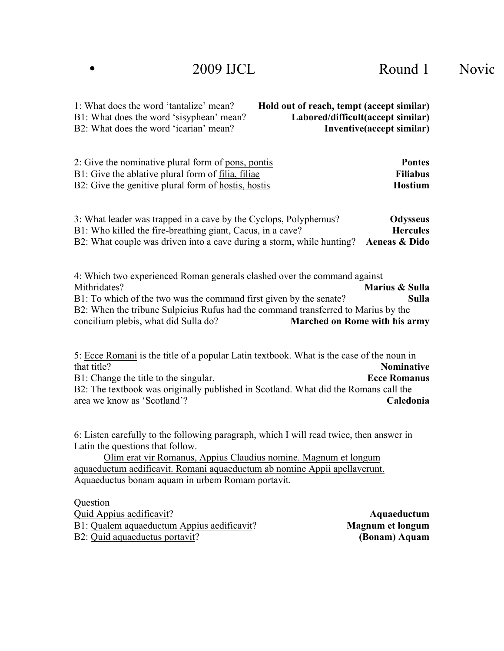| 1: What does the word 'tantalize' mean?  | Hold out of reach, tempt (accept similar) |
|------------------------------------------|-------------------------------------------|
| B1: What does the word 'sisyphean' mean? | Labored/difficult(accept similar)         |
| B2: What does the word 'icarian' mean?   | Inventive(accept similar)                 |

| <b>Pontes</b>   |
|-----------------|
| <b>Filiabus</b> |
| Hostium         |
|                 |

| 3: What leader was trapped in a cave by the Cyclops, Polyphemus?                    | Odysseus        |
|-------------------------------------------------------------------------------------|-----------------|
| B1: Who killed the fire-breathing giant, Cacus, in a cave?                          | <b>Hercules</b> |
| B2: What couple was driven into a cave during a storm, while hunting? Aeneas & Dido |                 |

4: Which two experienced Roman generals clashed over the command against Mithridates? **Marius & Sulla** B1: To which of the two was the command first given by the senate? **Sulla** B2: When the tribune Sulpicius Rufus had the command transferred to Marius by the concilium plebis, what did Sulla do? **Marched on Rome with his army**

5: Ecce Romani is the title of a popular Latin textbook. What is the case of the noun in that title? **Nominative** B1: Change the title to the singular. **Ecce Romanus** B2: The textbook was originally published in Scotland. What did the Romans call the area we know as 'Scotland'? **Caledonia**

6: Listen carefully to the following paragraph, which I will read twice, then answer in Latin the questions that follow.

Olim erat vir Romanus, Appius Claudius nomine. Magnum et longum aquaeductum aedificavit. Romani aquaeductum ab nomine Appii apellaverunt. Aquaeductus bonam aquam in urbem Romam portavit.

**Ouestion** Quid Appius aedificavit? **Aquaeductum** B1: Qualem aquaeductum Appius aedificavit? **Magnum et longum** B2: Quid aquaeductus portavit? **(Bonam) Aquam**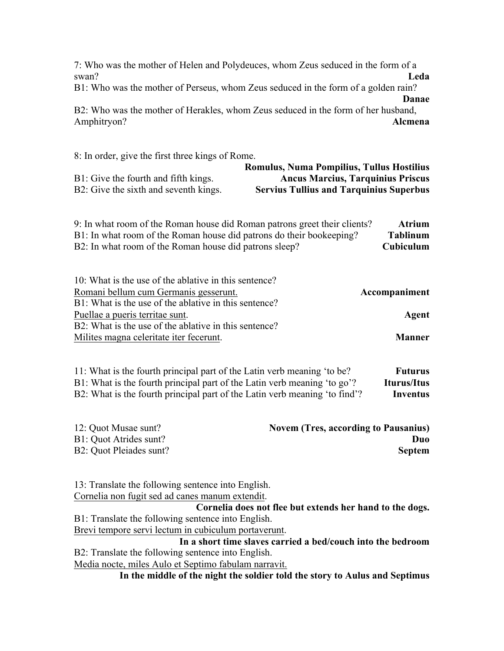7: Who was the mother of Helen and Polydeuces, whom Zeus seduced in the form of a swan? **Leda**

B1: Who was the mother of Perseus, whom Zeus seduced in the form of a golden rain?

**Danae**

B2: Who was the mother of Herakles, whom Zeus seduced in the form of her husband, Amphitryon? **Alcmena**

8: In order, give the first three kings of Rome.

|                                       | <b>Romulus, Numa Pompilius, Tullus Hostilius</b> |
|---------------------------------------|--------------------------------------------------|
| B1: Give the fourth and fifth kings.  | <b>Ancus Marcius, Tarquinius Priscus</b>         |
| B2: Give the sixth and seventh kings. | <b>Servius Tullius and Tarquinius Superbus</b>   |

| 9: In what room of the Roman house did Roman patrons greet their clients? | <b>Atrium</b>    |
|---------------------------------------------------------------------------|------------------|
| B1: In what room of the Roman house did patrons do their bookeeping?      | Tablinum         |
| B2: In what room of the Roman house did patrons sleep?                    | <b>Cubiculum</b> |

| Accompaniment |
|---------------|
|               |
| Agent         |
|               |
| Manner        |
|               |

| 11: What is the fourth principal part of the Latin verb meaning 'to be?    | <b>Futurus</b> |
|----------------------------------------------------------------------------|----------------|
| B1: What is the fourth principal part of the Latin verb meaning 'to go'?   | Iturus/Itus    |
| B2: What is the fourth principal part of the Latin verb meaning 'to find'? | Inventus       |

| 12: Quot Musae sunt?    | <b>Novem (Tres, according to Pausanius)</b> |
|-------------------------|---------------------------------------------|
| B1: Quot Atrides sunt?  | Duo:                                        |
| B2: Quot Pleiades sunt? | <b>Septem</b>                               |

13: Translate the following sentence into English. Cornelia non fugit sed ad canes manum extendit.

**Cornelia does not flee but extends her hand to the dogs.** B1: Translate the following sentence into English. Brevi tempore servi lectum in cubiculum portaverunt.

**In a short time slaves carried a bed/couch into the bedroom** B2: Translate the following sentence into English.

Media nocte, miles Aulo et Septimo fabulam narravit.

**In the middle of the night the soldier told the story to Aulus and Septimus**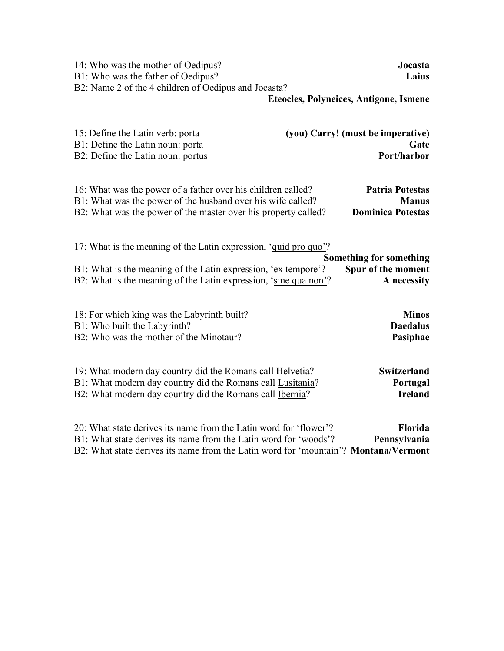| 14: Who was the mother of Oedipus?<br>B1: Who was the father of Oedipus?<br>B2: Name 2 of the 4 children of Oedipus and Jocasta?                                                                                             | Jocasta<br>Laius                              |
|------------------------------------------------------------------------------------------------------------------------------------------------------------------------------------------------------------------------------|-----------------------------------------------|
|                                                                                                                                                                                                                              | <b>Eteocles, Polyneices, Antigone, Ismene</b> |
| 15: Define the Latin verb: porta                                                                                                                                                                                             | (you) Carry! (must be imperative)             |
| B1: Define the Latin noun: porta                                                                                                                                                                                             | Gate                                          |
| B2: Define the Latin noun: portus                                                                                                                                                                                            | Port/harbor                                   |
| 16: What was the power of a father over his children called?                                                                                                                                                                 | <b>Patria Potestas</b>                        |
| B1: What was the power of the husband over his wife called?                                                                                                                                                                  | <b>Manus</b>                                  |
| B2: What was the power of the master over his property called?                                                                                                                                                               | <b>Dominica Potestas</b>                      |
| 17: What is the meaning of the Latin expression, 'quid pro quo'?                                                                                                                                                             | <b>Something for something</b>                |
| B1: What is the meaning of the Latin expression, 'ex tempore'?                                                                                                                                                               | Spur of the moment                            |
| B2: What is the meaning of the Latin expression, 'sine qua non'?                                                                                                                                                             | A necessity                                   |
| 18: For which king was the Labyrinth built?                                                                                                                                                                                  | <b>Minos</b>                                  |
| B1: Who built the Labyrinth?                                                                                                                                                                                                 | <b>Daedalus</b>                               |
| B2: Who was the mother of the Minotaur?                                                                                                                                                                                      | Pasiphae                                      |
| 19: What modern day country did the Romans call Helvetia?                                                                                                                                                                    | <b>Switzerland</b>                            |
| B1: What modern day country did the Romans call Lusitania?                                                                                                                                                                   | Portugal                                      |
| B2: What modern day country did the Romans call Ibernia?                                                                                                                                                                     | <b>Ireland</b>                                |
| 20: What state derives its name from the Latin word for 'flower'?<br>B1: What state derives its name from the Latin word for 'woods'?<br>B2: What state derives its name from the Latin word for 'mountain'? Montana/Vermont | Florida<br>Pennsylvania                       |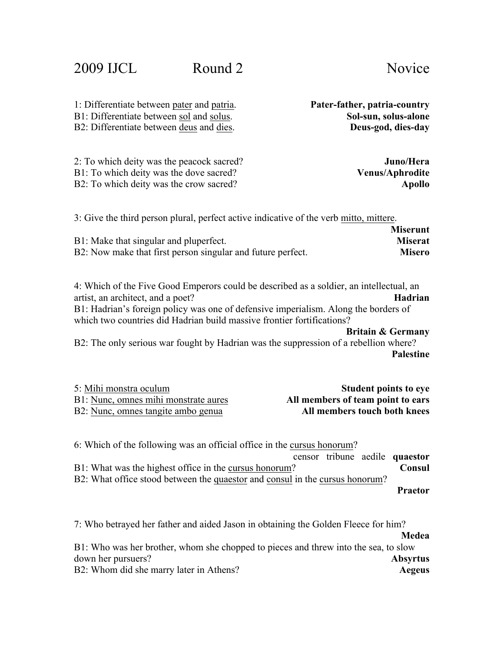| B1: Differentiate between sol and solus.                                                                                                                                                                                                                                                      | Sol-sun, solus-alone                           |
|-----------------------------------------------------------------------------------------------------------------------------------------------------------------------------------------------------------------------------------------------------------------------------------------------|------------------------------------------------|
| B2: Differentiate between deus and dies.                                                                                                                                                                                                                                                      | Deus-god, dies-day                             |
| 2: To which deity was the peacock sacred?                                                                                                                                                                                                                                                     | Juno/Hera                                      |
| B1: To which deity was the dove sacred?                                                                                                                                                                                                                                                       | <b>Venus/Aphrodite</b>                         |
| B2: To which deity was the crow sacred?                                                                                                                                                                                                                                                       | <b>Apollo</b>                                  |
| 3: Give the third person plural, perfect active indicative of the verb mitto, mittere.                                                                                                                                                                                                        | <b>Miserunt</b>                                |
| B1: Make that singular and pluperfect.                                                                                                                                                                                                                                                        | <b>Miserat</b>                                 |
| B2: Now make that first person singular and future perfect.                                                                                                                                                                                                                                   | <b>Misero</b>                                  |
| 4: Which of the Five Good Emperors could be described as a soldier, an intellectual, an<br>artist, an architect, and a poet?<br>B1: Hadrian's foreign policy was one of defensive imperialism. Along the borders of<br>which two countries did Hadrian build massive frontier fortifications? | <b>Hadrian</b><br><b>Britain &amp; Germany</b> |
| B2: The only serious war fought by Hadrian was the suppression of a rebellion where?                                                                                                                                                                                                          | <b>Palestine</b>                               |
| 5: Mihi monstra oculum                                                                                                                                                                                                                                                                        | <b>Student points to eye</b>                   |
| B1: Nunc, omnes mihi monstrate aures                                                                                                                                                                                                                                                          | All members of team point to ears              |
| B2: Nunc, omnes tangite ambo genua                                                                                                                                                                                                                                                            | All members touch both knees                   |
| 6: Which of the following was an official office in the cursus honorum?                                                                                                                                                                                                                       | censor tribune aedile quaestor                 |
| B1: What was the highest office in the cursus honorum?                                                                                                                                                                                                                                        | Consul                                         |
| B2: What office stood between the quaestor and consul in the cursus honorum?                                                                                                                                                                                                                  | <b>Praetor</b>                                 |
|                                                                                                                                                                                                                                                                                               |                                                |

1: Differentiate between pater and patria. **Pater-father, patria-country**

7: Who betrayed her father and aided Jason in obtaining the Golden Fleece for him? **Medea**

|                                                                                     | .               |
|-------------------------------------------------------------------------------------|-----------------|
| B1: Who was her brother, whom she chopped to pieces and threw into the sea, to slow |                 |
| down her pursuers?                                                                  | <b>Absyrtus</b> |
| B2: Whom did she marry later in Athens?                                             | Aegeus          |
|                                                                                     |                 |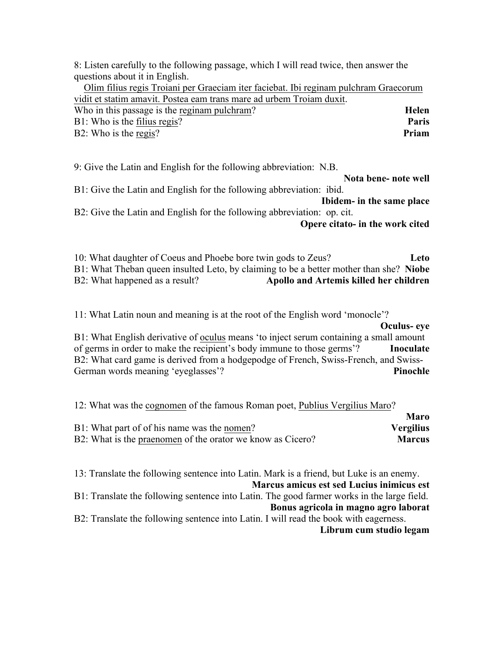8: Listen carefully to the following passage, which I will read twice, then answer the questions about it in English.

| Olim filius regis Troiani per Graeciam iter faciebat. Ibi reginam pulchram Graecorum |       |
|--------------------------------------------------------------------------------------|-------|
| vidit et statim amavit. Postea eam trans mare ad urbem Troiam duxit.                 |       |
| Who in this passage is the reginam pulchram?                                         | Helen |
| $B1$ : Who is the filius regis?                                                      | Paris |
| B2: Who is the regis?                                                                | Priam |

9: Give the Latin and English for the following abbreviation: N.B.

**Nota bene- note well** B1: Give the Latin and English for the following abbreviation: ibid.

**Ibidem- in the same place** B2: Give the Latin and English for the following abbreviation: op. cit.

**Opere citato- in the work cited**

10: What daughter of Coeus and Phoebe bore twin gods to Zeus? **Leto** B1: What Theban queen insulted Leto, by claiming to be a better mother than she? **Niobe** B2: What happened as a result? **Apollo and Artemis killed her children**

11: What Latin noun and meaning is at the root of the English word 'monocle'?

**Oculus- eye** B1: What English derivative of oculus means 'to inject serum containing a small amount of germs in order to make the recipient's body immune to those germs'? **Inoculate** B2: What card game is derived from a hodgepodge of French, Swiss-French, and Swiss-German words meaning 'eyeglasses'? **Pinochle**

| 12: What was the cognomen of the famous Roman poet, Publius Vergilius Maro? |                  |
|-----------------------------------------------------------------------------|------------------|
|                                                                             | Maro             |
| B1: What part of of his name was the nomen?                                 | <b>Vergilius</b> |
| B2: What is the praenomen of the orator we know as Cicero?                  | <b>Marcus</b>    |

13: Translate the following sentence into Latin. Mark is a friend, but Luke is an enemy. **Marcus amicus est sed Lucius inimicus est** B1: Translate the following sentence into Latin. The good farmer works in the large field. **Bonus agricola in magno agro laborat** B2: Translate the following sentence into Latin. I will read the book with eagerness. **Librum cum studio legam**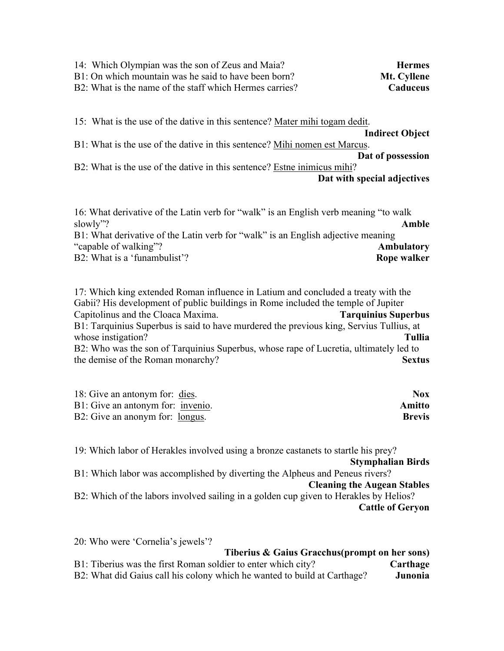| 14: Which Olympian was the son of Zeus and Maia?<br>B1: On which mountain was he said to have been born?<br>B2: What is the name of the staff which Hermes carries? | <b>Hermes</b><br>Mt. Cyllene<br>Caduceus |
|---------------------------------------------------------------------------------------------------------------------------------------------------------------------|------------------------------------------|
| 15: What is the use of the dative in this sentence? Mater mihi togam dedit.                                                                                         |                                          |
|                                                                                                                                                                     | <b>Indirect Object</b>                   |
| B1: What is the use of the dative in this sentence? Mihi nomen est Marcus.                                                                                          |                                          |
|                                                                                                                                                                     | Dat of possession                        |
| B2: What is the use of the dative in this sentence? Estne inimicus mihi?                                                                                            |                                          |
|                                                                                                                                                                     | Dat with special adjectives              |
| 16: What derivative of the Latin verb for "walk" is an English verb meaning "to walk<br>1,330 <sup>-</sup>                                                          |                                          |

| slowly"?                                                                         | Amble       |
|----------------------------------------------------------------------------------|-------------|
| B1: What derivative of the Latin verb for "walk" is an English adjective meaning |             |
| "capable of walking"?                                                            | Ambulatory  |
| B2: What is a 'funambulist'?                                                     | Rope walker |

17: Which king extended Roman influence in Latium and concluded a treaty with the Gabii? His development of public buildings in Rome included the temple of Jupiter Capitolinus and the Cloaca Maxima. **Tarquinius Superbus** B1: Tarquinius Superbus is said to have murdered the previous king, Servius Tullius, at whose instigation? **Tullia** B2: Who was the son of Tarquinius Superbus, whose rape of Lucretia, ultimately led to the demise of the Roman monarchy? **Sextus**

| 18: Give an antonym for: dies.    | Nox.          |
|-----------------------------------|---------------|
| B1: Give an antonym for: invenio. | <b>Amitto</b> |
| B2: Give an anonym for: longus.   | <b>Brevis</b> |

19: Which labor of Herakles involved using a bronze castanets to startle his prey?

**Stymphalian Birds**

B1: Which labor was accomplished by diverting the Alpheus and Peneus rivers? **Cleaning the Augean Stables**

B2: Which of the labors involved sailing in a golden cup given to Herakles by Helios? **Cattle of Geryon**

20: Who were 'Cornelia's jewels'? **Tiberius & Gaius Gracchus(prompt on her sons)** B1: Tiberius was the first Roman soldier to enter which city? **Carthage** B2: What did Gaius call his colony which he wanted to build at Carthage? **Junonia**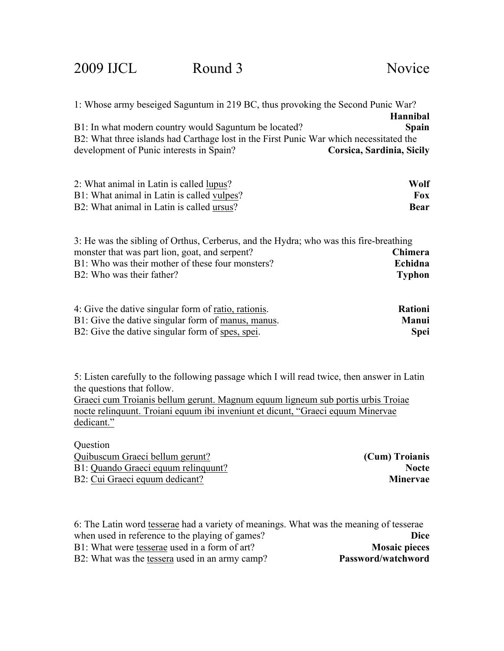| 1: Whose army beseiged Saguntum in 219 BC, thus provoking the Second Punic War?        |                                                     |
|----------------------------------------------------------------------------------------|-----------------------------------------------------|
|                                                                                        | <b>Hannibal</b>                                     |
| B1: In what modern country would Saguntum be located?                                  | Spain                                               |
| B2: What three islands had Carthage lost in the First Punic War which necessitated the |                                                     |
| development of Punic interests in Spain?                                               | Corsica, Sardinia, Sicily                           |
| 2: What animal in Latin is called lupus?                                               | Wolf                                                |
| B1: What animal in Latin is called vulpes?                                             | <b>Fox</b>                                          |
| B2: What animal in Latin is called ursus?                                              | <b>Bear</b>                                         |
| 3: He was the sibling of Orthus, Cerberus, and the Hydra; who was this fire-breathing  |                                                     |
| monster that was part lion, goat, and serpent?                                         | Chimera                                             |
| B1: Who was their mother of these four monsters?                                       | Echidna                                             |
| B2: Who was their father?                                                              | <b>Typhon</b>                                       |
| $\Lambda$ . Cinc the detice since leaf and contract with the state                     | $\mathbf{D}$ $\mathbf{L}$ $\mathbf{L}$ $\mathbf{L}$ |

| 4: Give the dative singular form of ratio, rationis. | <b>Rationi</b> |
|------------------------------------------------------|----------------|
| B1: Give the dative singular form of manus, manus.   | Manui          |
| B2: Give the dative singular form of spes, spei.     | <b>Spei</b>    |

5: Listen carefully to the following passage which I will read twice, then answer in Latin the questions that follow.

Graeci cum Troianis bellum gerunt. Magnum equum ligneum sub portis urbis Troiae nocte relinquunt. Troiani equum ibi inveniunt et dicunt, "Graeci equum Minervae dedicant."

| Question                            |                 |
|-------------------------------------|-----------------|
| Quibuscum Graeci bellum gerunt?     | (Cum) Troianis  |
| B1: Quando Graeci equum relinguunt? | <b>Nocte</b>    |
| B2: Cui Graeci equum dedicant?      | <b>Minervae</b> |

| 6: The Latin word tesserae had a variety of meanings. What was the meaning of tesserae |
|----------------------------------------------------------------------------------------|
| Dice                                                                                   |
| <b>Mosaic pieces</b>                                                                   |
| Password/watchword                                                                     |
|                                                                                        |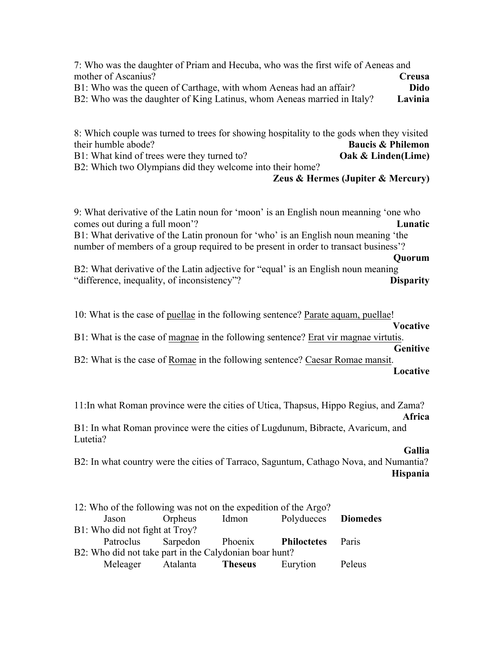7: Who was the daughter of Priam and Hecuba, who was the first wife of Aeneas and mother of Ascanius? **Creusa** B1: Who was the queen of Carthage, with whom Aeneas had an affair? **Dido** B2: Who was the daughter of King Latinus, whom Aeneas married in Italy? **Lavinia**

8: Which couple was turned to trees for showing hospitality to the gods when they visited their humble abode? **Baucis & Philemon** B1: What kind of trees were they turned to? **Oak & Linden(Lime)** B2: Which two Olympians did they welcome into their home?

**Zeus & Hermes (Jupiter & Mercury)**

9: What derivative of the Latin noun for 'moon' is an English noun meanning 'one who comes out during a full moon'? **Lunatic**

B1: What derivative of the Latin pronoun for 'who' is an English noun meaning 'the number of members of a group required to be present in order to transact business'?

#### **Quorum**

B2: What derivative of the Latin adjective for "equal' is an English noun meaning "difference, inequality, of inconsistency"? **Disparity**

10: What is the case of puellae in the following sentence? Parate aquam, puellae!

#### **Vocative**

B1: What is the case of magnae in the following sentence? Erat vir magnae virtutis. **Genitive**

B2: What is the case of Romae in the following sentence? Caesar Romae mansit. **Locative**

11:In what Roman province were the cities of Utica, Thapsus, Hippo Regius, and Zama? **Africa**

B1: In what Roman province were the cities of Lugdunum, Bibracte, Avaricum, and Lutetia?

#### **Gallia**

B2: In what country were the cities of Tarraco, Saguntum, Cathago Nova, and Numantia? **Hispania**

|                                                        | 12: Who of the following was not on the expedition of the Argo? |                                        |       |                     |              |
|--------------------------------------------------------|-----------------------------------------------------------------|----------------------------------------|-------|---------------------|--------------|
|                                                        | Jason                                                           | Orpheus                                | Idmon | Polydueces Diomedes |              |
| B1: Who did not fight at Troy?                         |                                                                 |                                        |       |                     |              |
|                                                        |                                                                 | Patroclus Sarpedon Phoenix Philoctetes |       |                     | <b>Paris</b> |
| B2: Who did not take part in the Calydonian boar hunt? |                                                                 |                                        |       |                     |              |
|                                                        |                                                                 | Meleager Atalanta <b>Theseus</b>       |       | Eurytion            | Peleus       |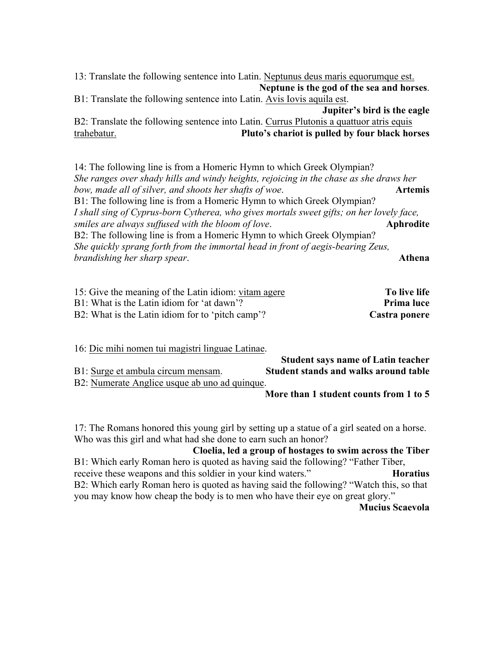13: Translate the following sentence into Latin. Neptunus deus maris equorumque est. **Neptune is the god of the sea and horses**. B1: Translate the following sentence into Latin. Avis Iovis aquila est. **Jupiter's bird is the eagle** B2: Translate the following sentence into Latin. Currus Plutonis a quattuor atris equis trahebatur. **Pluto's chariot is pulled by four black horses**

14: The following line is from a Homeric Hymn to which Greek Olympian? *She ranges over shady hills and windy heights, rejoicing in the chase as she draws her bow, made all of silver, and shoots her shafts of woe*. **Artemis** B1: The following line is from a Homeric Hymn to which Greek Olympian? *I shall sing of Cyprus-born Cytherea, who gives mortals sweet gifts; on her lovely face, smiles are always suffused with the bloom of love*. **Aphrodite** B2: The following line is from a Homeric Hymn to which Greek Olympian? *She quickly sprang forth from the immortal head in front of aegis-bearing Zeus, brandishing her sharp spear*. **Athena**

| 15: Give the meaning of the Latin idiom: vitam agere | To live life  |
|------------------------------------------------------|---------------|
| B1: What is the Latin idiom for 'at dawn'?           | Prima luce    |
| B2: What is the Latin idiom for to 'pitch camp'?     | Castra ponere |

16: Dic mihi nomen tui magistri linguae Latinae. **Student says name of Latin teacher** B1: Surge et ambula circum mensam. **Student stands and walks around table** B2: Numerate Anglice usque ab uno ad quinque. **More than 1 student counts from 1 to 5**

17: The Romans honored this young girl by setting up a statue of a girl seated on a horse. Who was this girl and what had she done to earn such an honor?

#### **Cloelia, led a group of hostages to swim across the Tiber**

B1: Which early Roman hero is quoted as having said the following? "Father Tiber, receive these weapons and this soldier in your kind waters." **Horatius** B2: Which early Roman hero is quoted as having said the following? "Watch this, so that you may know how cheap the body is to men who have their eye on great glory."

#### **Mucius Scaevola**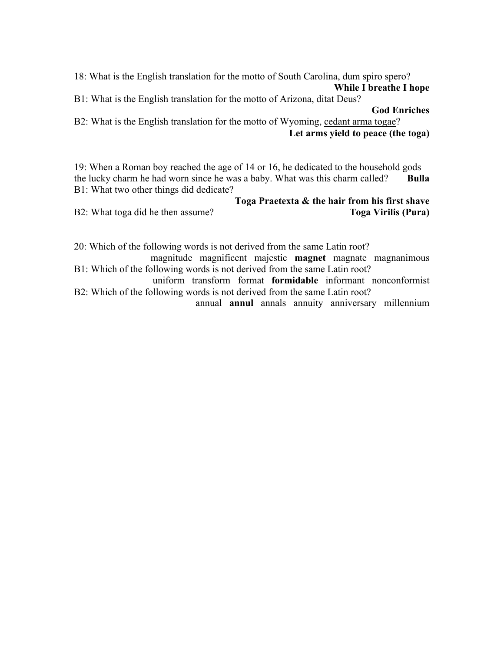18: What is the English translation for the motto of South Carolina, dum spiro spero? **While I breathe I hope**

B1: What is the English translation for the motto of Arizona, ditat Deus?

**God Enriches**

B2: What is the English translation for the motto of Wyoming, cedant arma togae? **Let arms yield to peace (the toga)**

19: When a Roman boy reached the age of 14 or 16, he dedicated to the household gods the lucky charm he had worn since he was a baby. What was this charm called? **Bulla** B1: What two other things did dedicate?

**Toga Praetexta & the hair from his first shave** B2: What toga did he then assume? **Toga Virilis (Pura)**

20: Which of the following words is not derived from the same Latin root?

magnitude magnificent majestic **magnet** magnate magnanimous B1: Which of the following words is not derived from the same Latin root?

uniform transform format **formidable** informant nonconformist B2: Which of the following words is not derived from the same Latin root?

annual **annul** annals annuity anniversary millennium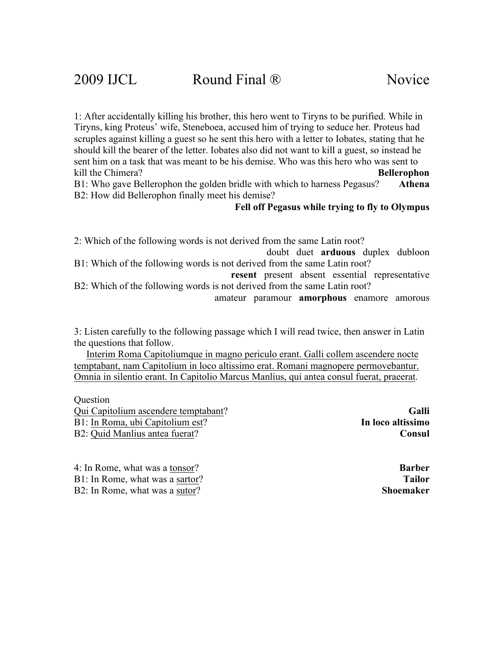1: After accidentally killing his brother, this hero went to Tiryns to be purified. While in Tiryns, king Proteus' wife, Steneboea, accused him of trying to seduce her. Proteus had scruples against killing a guest so he sent this hero with a letter to Iobates, stating that he should kill the bearer of the letter. Iobates also did not want to kill a guest, so instead he sent him on a task that was meant to be his demise. Who was this hero who was sent to kill the Chimera? **Bellerophon**

B1: Who gave Bellerophon the golden bridle with which to harness Pegasus? **Athena** B2: How did Bellerophon finally meet his demise?

**Fell off Pegasus while trying to fly to Olympus**

2: Which of the following words is not derived from the same Latin root?

doubt duet **arduous** duplex dubloon B1: Which of the following words is not derived from the same Latin root?

**resent** present absent essential representative B2: Which of the following words is not derived from the same Latin root?

amateur paramour **amorphous** enamore amorous

3: Listen carefully to the following passage which I will read twice, then answer in Latin the questions that follow.

 Interim Roma Capitoliumque in magno periculo erant. Galli collem ascendere nocte temptabant, nam Capitolium in loco altissimo erat. Romani magnopere permovebantur. Omnia in silentio erant. In Capitolio Marcus Manlius, qui antea consul fuerat, praeerat.

**Ouestion** 

Qui Capitolium ascendere temptabant? **Galli** B1: In Roma, ubi Capitolium est? **In loco altissimo** B2: Quid Manlius antea fuerat? **Consul**

4: In Rome, what was a tonsor? **Barber** B1: In Rome, what was a sartor? **Tailor** B2: In Rome, what was a sutor? **Shoemaker**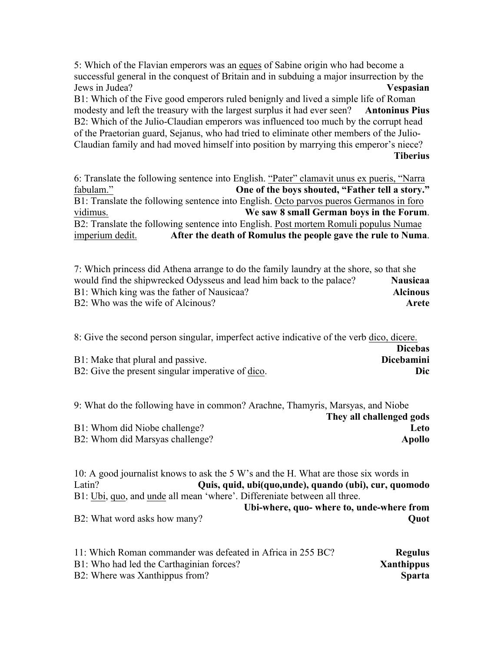5: Which of the Flavian emperors was an eques of Sabine origin who had become a successful general in the conquest of Britain and in subduing a major insurrection by the Jews in Judea? **Vespasian** B1: Which of the Five good emperors ruled benignly and lived a simple life of Roman modesty and left the treasury with the largest surplus it had ever seen? **Antoninus Pius** B2: Which of the Julio-Claudian emperors was influenced too much by the corrupt head of the Praetorian guard, Sejanus, who had tried to eliminate other members of the Julio-

Claudian family and had moved himself into position by marrying this emperor's niece? **Tiberius** 

6: Translate the following sentence into English. "Pater" clamavit unus ex pueris, "Narra fabulam." **One of the boys shouted, "Father tell a story."** B1: Translate the following sentence into English. Octo parvos pueros Germanos in foro vidimus. **We saw 8 small German boys in the Forum**. B2: Translate the following sentence into English. Post mortem Romuli populus Numae imperium dedit. **After the death of Romulus the people gave the rule to Numa**.

7: Which princess did Athena arrange to do the family laundry at the shore, so that she would find the shipwrecked Odysseus and lead him back to the palace? **Nausicaa** B1: Which king was the father of Nausicaa? **Alcinous** B2: Who was the wife of Alcinous? **Arete**

8: Give the second person singular, imperfect active indicative of the verb dico, dicere. **Dicebas** B1: Make that plural and passive. **Dicebamini** B2: Give the present singular imperative of dico.

| 9: What do the following have in common? Arachne, Thamyris, Marsyas, and Niobe |                          |
|--------------------------------------------------------------------------------|--------------------------|
|                                                                                | They all challenged gods |
| B1: Whom did Niobe challenge?                                                  | Leto-                    |
| B2: Whom did Marsyas challenge?                                                | Apollo                   |

10: A good journalist knows to ask the 5 W's and the H. What are those six words in Latin? **Quis, quid, ubi(quo,unde), quando (ubi), cur, quomodo** B1: Ubi, quo, and unde all mean 'where'. Differeniate between all three. **Ubi-where, quo- where to, unde-where from** B2: What word asks how many? **Quot** 

| 11: Which Roman commander was defeated in Africa in 255 BC? | <b>Regulus</b> |
|-------------------------------------------------------------|----------------|
| B1: Who had led the Carthaginian forces?                    | Xanthippus     |
| B2: Where was Xanthippus from?                              | <b>Sparta</b>  |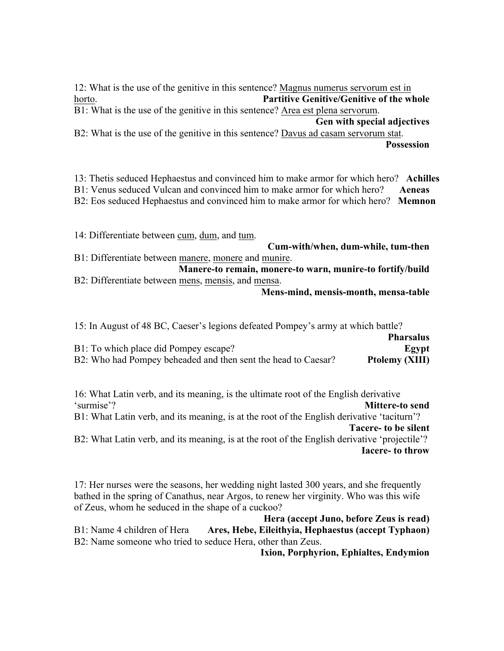12: What is the use of the genitive in this sentence? Magnus numerus servorum est in horto. **Partitive Genitive/Genitive of the whole** B1: What is the use of the genitive in this sentence? Area est plena servorum.

**Gen with special adjectives**

B2: What is the use of the genitive in this sentence? Davus ad casam servorum stat. **Possession**

13: Thetis seduced Hephaestus and convinced him to make armor for which hero? **Achilles**

B1: Venus seduced Vulcan and convinced him to make armor for which hero? **Aeneas**

B2: Eos seduced Hephaestus and convinced him to make armor for which hero? **Memnon**

14: Differentiate between cum, dum, and tum. **Cum-with/when, dum-while, tum-then** B1: Differentiate between manere, monere and munire. **Manere-to remain, monere-to warn, munire-to fortify/build** B2: Differentiate between mens, mensis, and mensa.

**Mens-mind, mensis-month, mensa-table**

15: In August of 48 BC, Caeser's legions defeated Pompey's army at which battle?

|                                                               | <b>Pharsalus</b> |
|---------------------------------------------------------------|------------------|
| B1: To which place did Pompey escape?                         | Egypt            |
| B2: Who had Pompey beheaded and then sent the head to Caesar? | Ptolemy (XIII)   |

16: What Latin verb, and its meaning, is the ultimate root of the English derivative 'surmise'? **Mittere-to send** B1: What Latin verb, and its meaning, is at the root of the English derivative 'taciturn'?

**Tacere- to be silent**

B2: What Latin verb, and its meaning, is at the root of the English derivative 'projectile'? **Iacere- to throw**

17: Her nurses were the seasons, her wedding night lasted 300 years, and she frequently bathed in the spring of Canathus, near Argos, to renew her virginity. Who was this wife of Zeus, whom he seduced in the shape of a cuckoo?

**Hera (accept Juno, before Zeus is read)** B1: Name 4 children of Hera **Ares, Hebe, Eileithyia, Hephaestus (accept Typhaon)** B2: Name someone who tried to seduce Hera, other than Zeus.

**Ixion, Porphyrion, Ephialtes, Endymion**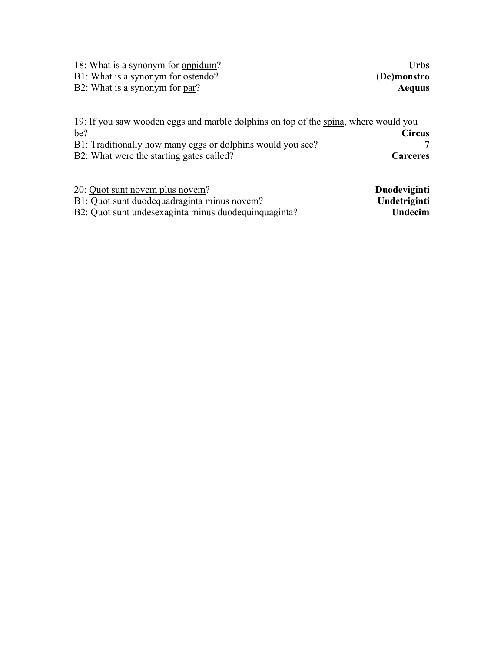| 18: What is a synonym for oppidum?<br>B1: What is a synonym for ostendo?<br>B2: What is a synonym for par?                                                                                           | <b>Urbs</b><br>(De)monstro<br>Aequus |
|------------------------------------------------------------------------------------------------------------------------------------------------------------------------------------------------------|--------------------------------------|
| 19: If you saw wooden eggs and marble dolphins on top of the spina, where would you<br>be?<br>B1: Traditionally how many eggs or dolphins would you see?<br>B2: What were the starting gates called? | <b>Circus</b><br>Carceres            |
| 20: Quot sunt novem plus novem?                                                                                                                                                                      | <b>Duodeviginti</b>                  |

| ZU. OUOL SUIIL NOVEM DIUS NOVEM!                     | <b>Duodeviginti</b> |
|------------------------------------------------------|---------------------|
| B1: Quot sunt duodequadraginta minus novem?          | Undetriginti        |
| B2: Quot sunt undesexaginta minus duodequinquaginta? | Undecim             |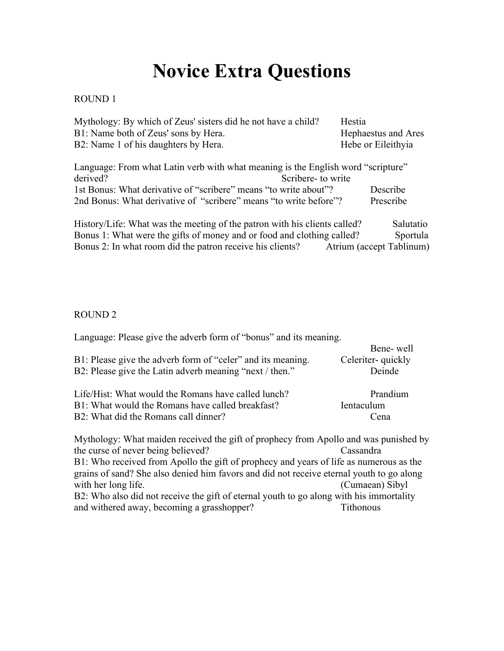# **Novice Extra Questions**

#### ROUND 1

| Mythology: By which of Zeus' sisters did he not have a child? | Hestia              |
|---------------------------------------------------------------|---------------------|
| B1: Name both of Zeus' sons by Hera.                          | Hephaestus and Ares |
| B2: Name 1 of his daughters by Hera.                          | Hebe or Eileithyia  |

| Language: From what Latin verb with what meaning is the English word "scripture" |           |
|----------------------------------------------------------------------------------|-----------|
| derived?<br>Scribere- to write                                                   |           |
| 1st Bonus: What derivative of "scribere" means "to write about"?                 | Describe  |
| 2nd Bonus: What derivative of "scribere" means "to write before"?                | Prescribe |

History/Life: What was the meeting of the patron with his clients called? Salutatio Bonus 1: What were the gifts of money and or food and clothing called? Sportula Bonus 2: In what room did the patron receive his clients? Atrium (accept Tablinum)

#### ROUND 2

| Language: Please give the adverb form of "bonus" and its meaning.                        |                    |
|------------------------------------------------------------------------------------------|--------------------|
|                                                                                          | Bene-well          |
| B1: Please give the adverb form of "celer" and its meaning.                              | Celeriter-quickly  |
| B2: Please give the Latin adverb meaning "next / then."                                  | Deinde             |
| Life/Hist: What would the Romans have called lunch?                                      | Prandium           |
| B1: What would the Romans have called breakfast?                                         | <b>I</b> entaculum |
| B2: What did the Romans call dinner?                                                     | Cena               |
| Mythology: What maiden received the gift of prophecy from Apollo and was punished by     |                    |
| the curse of never being believed?                                                       | Cassandra          |
| B1: Who received from Apollo the gift of prophecy and years of life as numerous as the   |                    |
| grains of sand? She also denied him favors and did not receive eternal youth to go along |                    |
| with her long life.                                                                      | (Cumaean) Sibyl    |
| B2: Who also did not receive the gift of eternal youth to go along with his immortality  |                    |
| and withered away, becoming a grasshopper?                                               | Tithonous          |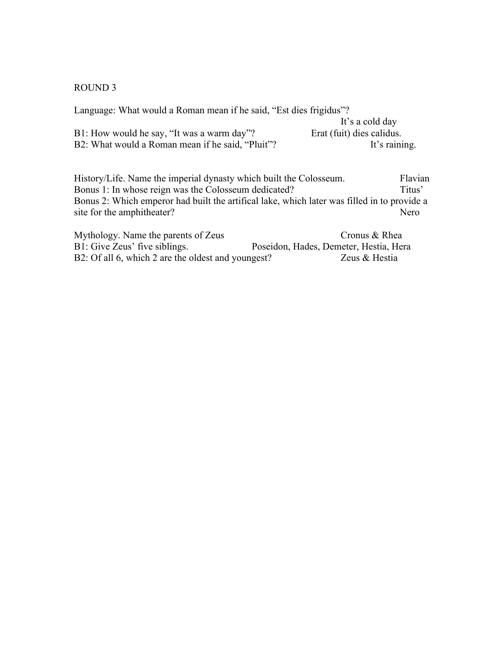#### ROUND 3

| Language: What would a Roman mean if he said, "Est dies frigidus"? |                           |
|--------------------------------------------------------------------|---------------------------|
|                                                                    | It's a cold day           |
| B1: How would he say, "It was a warm day"?                         | Erat (fuit) dies calidus. |
| B2: What would a Roman mean if he said, "Pluit"?                   | It's raining.             |
|                                                                    |                           |

History/Life. Name the imperial dynasty which built the Colosseum. Flavian Bonus 1: In whose reign was the Colosseum dedicated? Titus' Bonus 1: In whose reign was the Colosseum dedicated? Bonus 2: Which emperor had built the artifical lake, which later was filled in to provide a site for the amphitheater? site for the amphitheater?

| Mythology. Name the parents of Zeus                | Cronus & Rhea                          |
|----------------------------------------------------|----------------------------------------|
| B1: Give Zeus' five siblings.                      | Poseidon, Hades, Demeter, Hestia, Hera |
| B2: Of all 6, which 2 are the oldest and youngest? | Zeus & Hestia                          |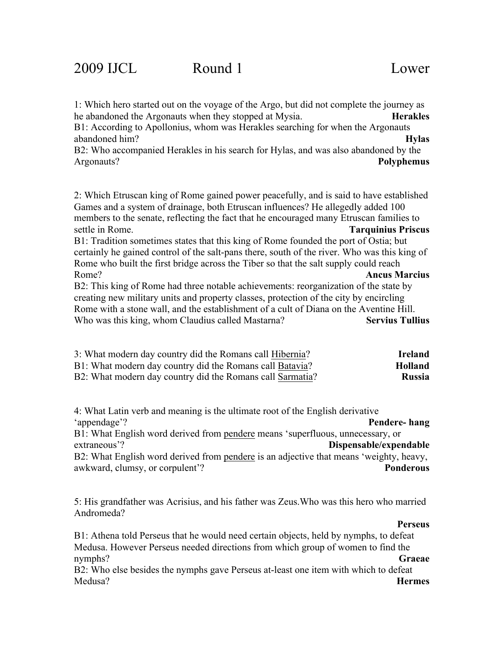| 1: Which hero started out on the voyage of the Argo, but did not complete the journey as     |                           |
|----------------------------------------------------------------------------------------------|---------------------------|
| he abandoned the Argonauts when they stopped at Mysia.                                       | <b>Herakles</b>           |
| B1: According to Apollonius, whom was Herakles searching for when the Argonauts              |                           |
| abandoned him?                                                                               | <b>Hylas</b>              |
| B2: Who accompanied Herakles in his search for Hylas, and was also abandoned by the          |                           |
| Argonauts?                                                                                   | <b>Polyphemus</b>         |
|                                                                                              |                           |
| 2: Which Etruscan king of Rome gained power peacefully, and is said to have established      |                           |
| Games and a system of drainage, both Etruscan influences? He allegedly added 100             |                           |
| members to the senate, reflecting the fact that he encouraged many Etruscan families to      |                           |
| settle in Rome.                                                                              | <b>Tarquinius Priscus</b> |
| B1: Tradition sometimes states that this king of Rome founded the port of Ostia; but         |                           |
| certainly he gained control of the salt-pans there, south of the river. Who was this king of |                           |
| Rome who built the first bridge across the Tiber so that the salt supply could reach         |                           |
| Rome?                                                                                        | <b>Ancus Marcius</b>      |
| B2: This king of Rome had three notable achievements: reorganization of the state by         |                           |
| creating new military units and property classes, protection of the city by encircling       |                           |
| Rome with a stone wall, and the establishment of a cult of Diana on the Aventine Hill.       |                           |
| Who was this king, whom Claudius called Mastarna?                                            | <b>Servius Tullius</b>    |

| 3: What modern day country did the Romans call Hibernia?  | Ireland        |
|-----------------------------------------------------------|----------------|
| B1: What modern day country did the Romans call Batavia?  | <b>Holland</b> |
| B2: What modern day country did the Romans call Sarmatia? | <b>Russia</b>  |

4: What Latin verb and meaning is the ultimate root of the English derivative 'appendage'? **Pendere- hang** B1: What English word derived from pendere means 'superfluous, unnecessary, or extraneous'? **Dispensable/expendable** B2: What English word derived from pendere is an adjective that means 'weighty, heavy,

awkward, clumsy, or corpulent'? **Ponderous**

5: His grandfather was Acrisius, and his father was Zeus.Who was this hero who married Andromeda?

#### **Perseus**

B1: Athena told Perseus that he would need certain objects, held by nymphs, to defeat Medusa. However Perseus needed directions from which group of women to find the nymphs? **Graeae**

B2: Who else besides the nymphs gave Perseus at-least one item with which to defeat Medusa? **Hermes**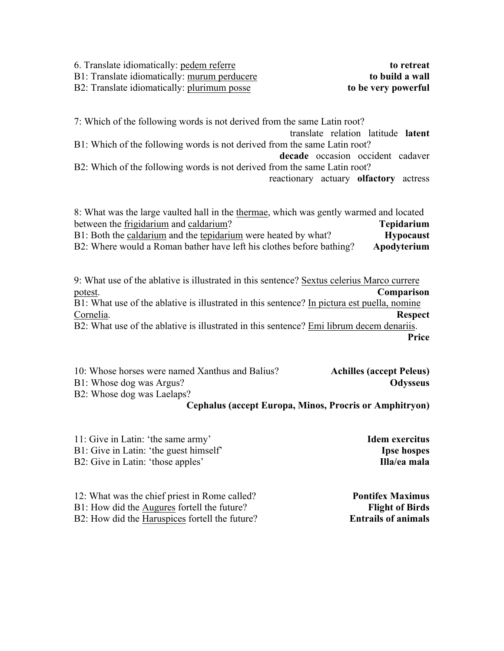6. Translate idiomatically: pedem referre **to retreat** B1: Translate idiomatically: murum perducere **to build a wall** B2: Translate idiomatically: plurimum posse **to be very powerful**

7: Which of the following words is not derived from the same Latin root? translate relation latitude **latent** B1: Which of the following words is not derived from the same Latin root? **decade** occasion occident cadaver B2: Which of the following words is not derived from the same Latin root? reactionary actuary **olfactory** actress

8: What was the large vaulted hall in the thermae, which was gently warmed and located between the frigidarium and caldarium? **Tepidarium** B1: Both the caldarium and the tepidarium were heated by what? **Hypocaust** B2: Where would a Roman bather have left his clothes before bathing? **Apodyterium**

9: What use of the ablative is illustrated in this sentence? Sextus celerius Marco currere potest. **Comparison** B1: What use of the ablative is illustrated in this sentence? In pictura est puella, nomine Cornelia. **Respect** B2: What use of the ablative is illustrated in this sentence? Emi librum decem denariis. **Price**

| 10: Whose horses were named Xanthus and Balius? | <b>Achilles (accept Peleus)</b> |
|-------------------------------------------------|---------------------------------|
| B1: Whose dog was Argus?                        | Odysseus                        |
| B2: Whose dog was Laelaps?                      |                                 |

#### **Cephalus (accept Europa, Minos, Procris or Amphitryon)**

11: Give in Latin: 'the same army' **Idem exercitus** B1: Give in Latin: 'the guest himself' **Ipse hospes** B2: Give in Latin: 'those apples' **Illa/ea mala** 

12: What was the chief priest in Rome called? **Pontifex Maximus** B1: How did the Augures fortell the future? **Flight of Birds** B2: How did the Haruspices fortell the future? **Entrails of animals**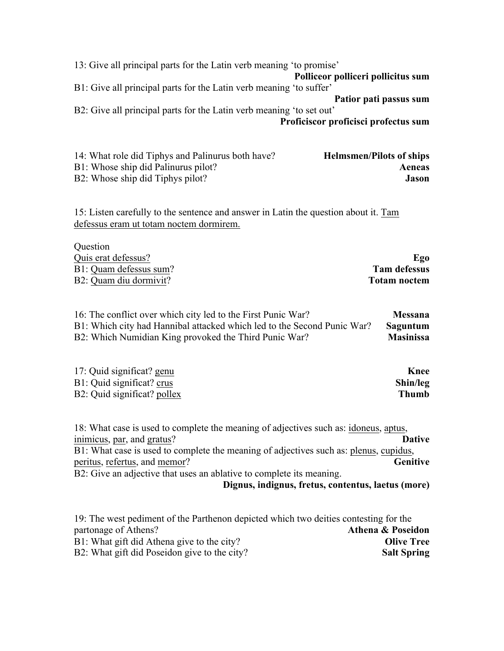13: Give all principal parts for the Latin verb meaning 'to promise' **Polliceor polliceri pollicitus sum** B1: Give all principal parts for the Latin verb meaning 'to suffer' **Patior pati passus sum** B2: Give all principal parts for the Latin verb meaning 'to set out' **Proficiscor proficisci profectus sum**

| 14: What role did Tiphys and Palinurus both have? | <b>Helmsmen/Pilots of ships</b> |
|---------------------------------------------------|---------------------------------|
| B1: Whose ship did Palinurus pilot?               | Aeneas                          |
| B2: Whose ship did Tiphys pilot?                  | Jason                           |

15: Listen carefully to the sentence and answer in Latin the question about it. Tam defessus eram ut totam noctem dormirem.

| Ego                 |
|---------------------|
| <b>Tam defessus</b> |
| <b>Totam noctem</b> |
|                     |

| 16: The conflict over which city led to the First Punic War?            | <b>Messana</b>   |
|-------------------------------------------------------------------------|------------------|
| B1: Which city had Hannibal attacked which led to the Second Punic War? | Saguntum         |
| B2: Which Numidian King provoked the Third Punic War?                   | <b>Masinissa</b> |

| 17: Quid significat? genu   | Knee     |
|-----------------------------|----------|
| B1: Quid significat? crus   | Shin/leg |
| B2: Quid significat? pollex | Thumb    |

18: What case is used to complete the meaning of adjectives such as: idoneus, aptus, inimicus, par, and gratus? **Dative** B1: What case is used to complete the meaning of adjectives such as: plenus, cupidus, peritus, refertus, and memor? **Genitive** B2: Give an adjective that uses an ablative to complete its meaning. **Dignus, indignus, fretus, contentus, laetus (more)**

| 19: The west pediment of the Parthenon depicted which two deities contesting for the |                    |
|--------------------------------------------------------------------------------------|--------------------|
| partonage of Athens?                                                                 | Athena & Poseidon  |
| B1: What gift did Athena give to the city?                                           | <b>Olive Tree</b>  |
| B2: What gift did Poseidon give to the city?                                         | <b>Salt Spring</b> |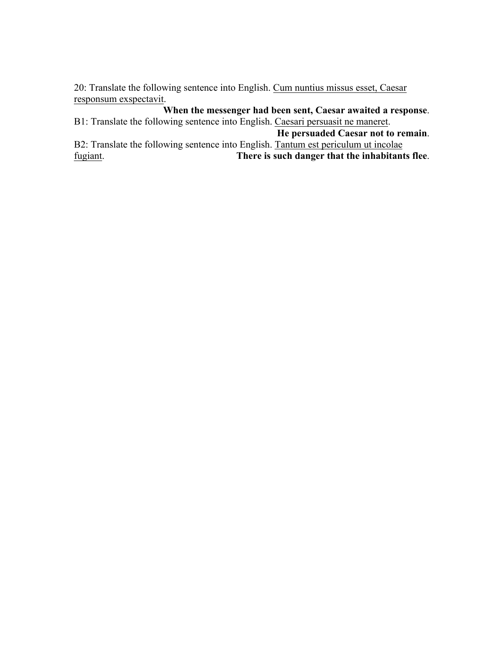20: Translate the following sentence into English. Cum nuntius missus esset, Caesar responsum exspectavit.

**When the messenger had been sent, Caesar awaited a response**. B1: Translate the following sentence into English. Caesari persuasit ne maneret. **He persuaded Caesar not to remain**. B2: Translate the following sentence into English. Tantum est periculum ut incolae fugiant. **There is such danger that the inhabitants flee**.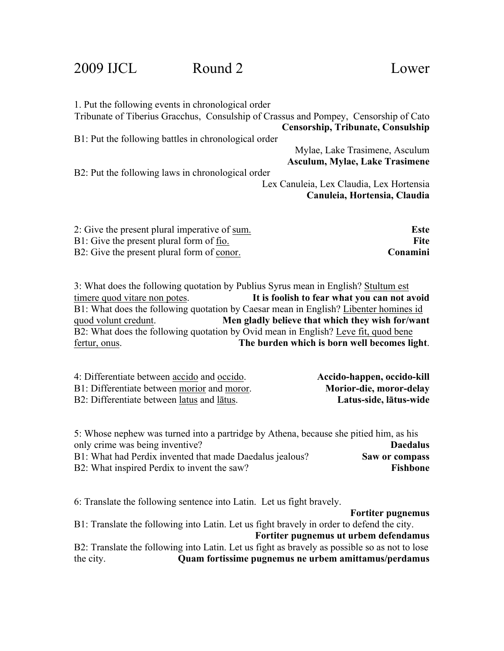### 2009 IJCL Round 2 Lower

| 1. Put the following events in chronological order                                   |                                          |
|--------------------------------------------------------------------------------------|------------------------------------------|
| Tribunate of Tiberius Gracchus, Consulship of Crassus and Pompey, Censorship of Cato |                                          |
|                                                                                      | <b>Censorship, Tribunate, Consulship</b> |
| B1: Put the following battles in chronological order                                 |                                          |
|                                                                                      | Mylae, Lake Trasimene, Asculum           |
|                                                                                      | Asculum, Mylae, Lake Trasimene           |
| B2: Put the following laws in chronological order                                    |                                          |
|                                                                                      | Lex Canuleia, Lex Claudia, Lex Hortensia |
|                                                                                      | Canuleia, Hortensia, Claudia             |
|                                                                                      |                                          |
|                                                                                      |                                          |
| 2: Give the present plural imperative of sum.                                        | <b>Este</b>                              |
| B1: Give the present plural form of fio.                                             | <b>Fite</b>                              |

B2: Give the present plural form of conor. **Consumersion** 

3: What does the following quotation by Publius Syrus mean in English? Stultum est timere quod vitare non potes. **It is foolish to fear what you can not avoid** B1: What does the following quotation by Caesar mean in English? Libenter homines id quod volunt credunt. **Men gladly believe that which they wish for/want** B2: What does the following quotation by Ovid mean in English? Leve fit, quod bene fertur, onus. **The burden which is born well becomes light**.

| 4: Differentiate between accido and occido. | Accido-happen, occido-kill |
|---------------------------------------------|----------------------------|
| B1: Differentiate between morior and moror. | Morior-die, moror-delay    |
| B2: Differentiate between latus and latus.  | Latus-side, lātus-wide     |

| 5: Whose nephew was turned into a partridge by Athena, because she pitied him, as his |                 |
|---------------------------------------------------------------------------------------|-----------------|
| only crime was being inventive?                                                       | <b>Daedalus</b> |
| B1: What had Perdix invented that made Daedalus jealous?                              | Saw or compass  |
| B2: What inspired Perdix to invent the saw?                                           | Fishbone        |

6: Translate the following sentence into Latin. Let us fight bravely.

**Fortiter pugnemus**

B1: Translate the following into Latin. Let us fight bravely in order to defend the city. **Fortiter pugnemus ut urbem defendamus**

B2: Translate the following into Latin. Let us fight as bravely as possible so as not to lose the city. **Quam fortissime pugnemus ne urbem amittamus/perdamus**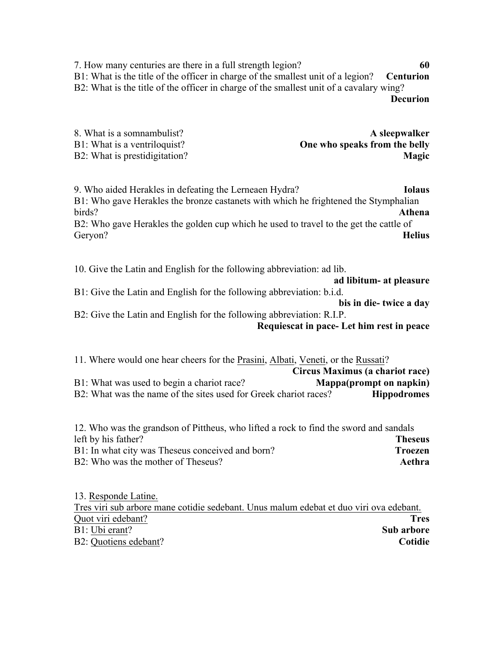7. How many centuries are there in a full strength legion? **60** B1: What is the title of the officer in charge of the smallest unit of a legion? **Centurion** B2: What is the title of the officer in charge of the smallest unit of a cavalary wing? **Decurion**

| 8. What is a somnambulist?    | A sleepwalker                 |
|-------------------------------|-------------------------------|
| B1: What is a ventriloquist?  | One who speaks from the belly |
| B2: What is prestidigitation? | <b>Magic</b>                  |

9. Who aided Herakles in defeating the Lerneaen Hydra? **Iolaus** B1: Who gave Herakles the bronze castanets with which he frightened the Stymphalian birds? **Athena** B2: Who gave Herakles the golden cup which he used to travel to the get the cattle of Geryon? **Helius**

10. Give the Latin and English for the following abbreviation: ad lib. **ad libitum- at pleasure** B1: Give the Latin and English for the following abbreviation: b.i.d. **bis in die- twice a day** B2: Give the Latin and English for the following abbreviation: R.I.P.

**Requiescat in pace- Let him rest in peace**

11. Where would one hear cheers for the Prasini, Albati, Veneti, or the Russati? **Circus Maximus (a chariot race)** B1: What was used to begin a chariot race? **Mappa(prompt on napkin)** B2: What was the name of the sites used for Greek chariot races? **Hippodromes** 

12. Who was the grandson of Pittheus, who lifted a rock to find the sword and sandals left by his father? **Theseus** B1: In what city was Theseus conceived and born? **Troezen** B2: Who was the mother of Theseus? **Aethra**

13. Responde Latine. Tres viri sub arbore mane cotidie sedebant. Unus malum edebat et duo viri ova edebant. Quot viri edebant? **Tres** B1: Ubi erant? **Sub arbore** B2: Quotiens edebant? **Cotidie**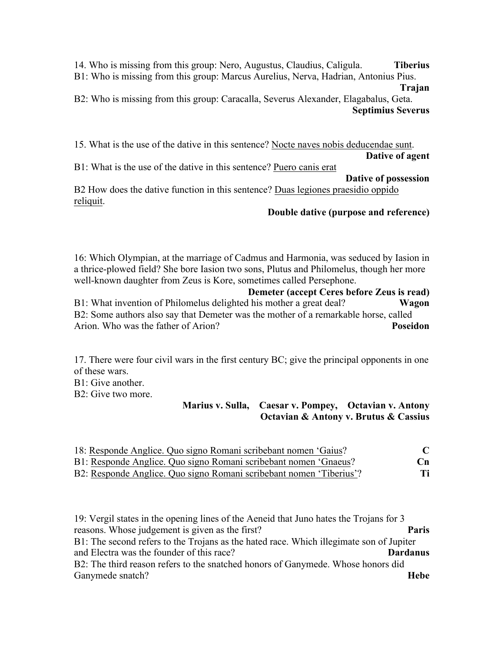14. Who is missing from this group: Nero, Augustus, Claudius, Caligula. **Tiberius** B1: Who is missing from this group: Marcus Aurelius, Nerva, Hadrian, Antonius Pius.

**Trajan**

B2: Who is missing from this group: Caracalla, Severus Alexander, Elagabalus, Geta. **Septimius Severus**

15. What is the use of the dative in this sentence? Nocte naves nobis deducendae sunt. **Dative of agent** B1: What is the use of the dative in this sentence? Puero canis erat **Dative of possession**

B2 How does the dative function in this sentence? Duas legiones praesidio oppido reliquit.

#### **Double dative (purpose and reference)**

16: Which Olympian, at the marriage of Cadmus and Harmonia, was seduced by Iasion in a thrice-plowed field? She bore Iasion two sons, Plutus and Philomelus, though her more well-known daughter from Zeus is Kore, sometimes called Persephone.

**Demeter (accept Ceres before Zeus is read)** B1: What invention of Philomelus delighted his mother a great deal? **Wagon** B2: Some authors also say that Demeter was the mother of a remarkable horse, called Arion. Who was the father of Arion? **Poseidon**

17. There were four civil wars in the first century BC; give the principal opponents in one of these wars.

 $B1:$  Give another.

B2: Give two more.

#### **Marius v. Sulla, Caesar v. Pompey, Octavian v. Antony Octavian & Antony v. Brutus & Cassius**

| 18: Responde Anglice. Quo signo Romani scribebant nomen 'Gaius?     | $\mathbf C$ |
|---------------------------------------------------------------------|-------------|
| B1: Responde Anglice. Quo signo Romani scribebant nomen 'Gnaeus?    | Cn          |
| B2: Responde Anglice. Quo signo Romani scribebant nomen 'Tiberius'? | Ti          |

19: Vergil states in the opening lines of the Aeneid that Juno hates the Trojans for 3 reasons. Whose judgement is given as the first? **Paris** B1: The second refers to the Trojans as the hated race. Which illegimate son of Jupiter and Electra was the founder of this race? **Dardanus** B2: The third reason refers to the snatched honors of Ganymede. Whose honors did Ganymede snatch? **Hebe**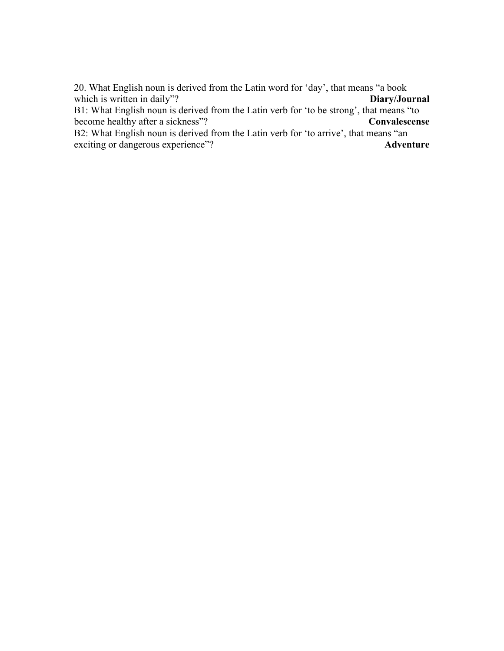20. What English noun is derived from the Latin word for 'day', that means "a book which is written in daily"? **Diary/Journal** B1: What English noun is derived from the Latin verb for 'to be strong', that means "to become healthy after a sickness"? **Convalescense** B2: What English noun is derived from the Latin verb for 'to arrive', that means "an exciting or dangerous experience"? **Adventure**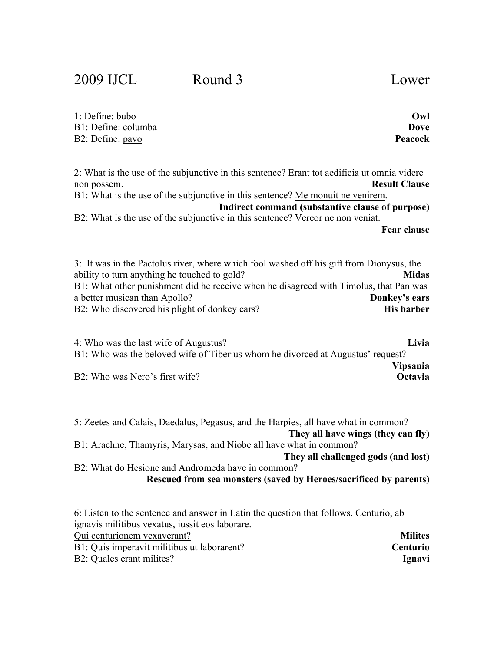2009 IJCL Round 3 Lower

| 1: Define: bubo     | Owl     |
|---------------------|---------|
| B1: Define: columba | Dove    |
| B2: Define: pavo    | Peacock |

2: What is the use of the subjunctive in this sentence? Erant tot aedificia ut omnia videre non possem. **Result Clause** B1: What is the use of the subjunctive in this sentence? Me monuit ne venirem. **Indirect command (substantive clause of purpose)** B2: What is the use of the subjunctive in this sentence? Vereor ne non veniat. **Fear clause**

3: It was in the Pactolus river, where which fool washed off his gift from Dionysus, the ability to turn anything he touched to gold? **Midas** B1: What other punishment did he receive when he disagreed with Timolus, that Pan was a better musican than Apollo? **Donkey's ears** B2: Who discovered his plight of donkey ears? **His barber** 

4: Who was the last wife of Augustus? **Livia** B1: Who was the beloved wife of Tiberius whom he divorced at Augustus' request? **Vipsania** B2: Who was Nero's first wife? **Octavia**

5: Zeetes and Calais, Daedalus, Pegasus, and the Harpies, all have what in common? **They all have wings (they can fly)** B1: Arachne, Thamyris, Marysas, and Niobe all have what in common? **They all challenged gods (and lost)** B2: What do Hesione and Andromeda have in common? **Rescued from sea monsters (saved by Heroes/sacrificed by parents)** 6: Listen to the sentence and answer in Latin the question that follows. Centurio, ab ignavis militibus vexatus, iussit eos laborare. Qui centurionem vexaverant? **Milites** B1: Quis imperavit militibus ut laborarent? **Centurio**

B2: Quales erant milites? **Ignavi**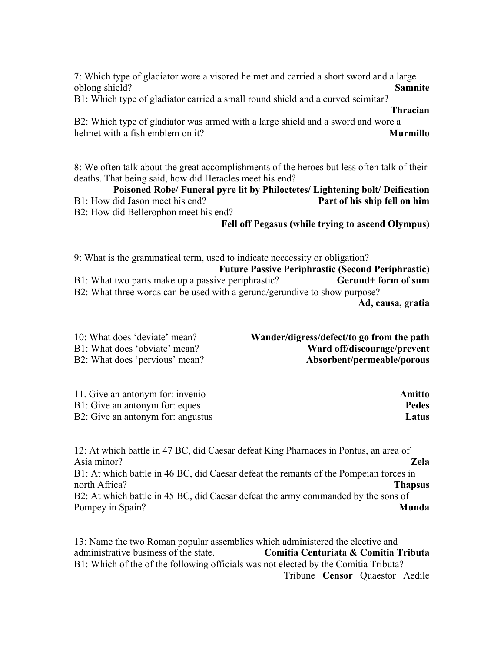7: Which type of gladiator wore a visored helmet and carried a short sword and a large oblong shield? **Samnite**

B1: Which type of gladiator carried a small round shield and a curved scimitar?

#### **Thracian**

B2: Which type of gladiator was armed with a large shield and a sword and wore a helmet with a fish emblem on it? **Murmillo**

8: We often talk about the great accomplishments of the heroes but less often talk of their deaths. That being said, how did Heracles meet his end?

#### **Poisoned Robe/ Funeral pyre lit by Philoctetes/ Lightening bolt/ Deification** B1: How did Jason meet his end? **Part of his ship fell on him**

B2: How did Bellerophon meet his end?

**Fell off Pegasus (while trying to ascend Olympus)**

9: What is the grammatical term, used to indicate neccessity or obligation? **Future Passive Periphrastic (Second Periphrastic)** B1: What two parts make up a passive periphrastic? **Gerund+ form of sum** B2: What three words can be used with a gerund/gerundive to show purpose? **Ad, causa, gratia**

| 10: What does 'deviate' mean?  | Wander/digress/defect/to go from the path |
|--------------------------------|-------------------------------------------|
| B1: What does 'obviate' mean?  | Ward off/discourage/prevent               |
| B2: What does 'pervious' mean? | Absorbent/permeable/porous                |

| 11. Give an antonym for: invenio  | Amitto       |
|-----------------------------------|--------------|
| B1: Give an antonym for: eques    | <b>Pedes</b> |
| B2: Give an antonym for: angustus | Latus        |

12: At which battle in 47 BC, did Caesar defeat King Pharnaces in Pontus, an area of Asia minor? **Zela** B1: At which battle in 46 BC, did Caesar defeat the remants of the Pompeian forces in north Africa? **Thapsus** B2: At which battle in 45 BC, did Caesar defeat the army commanded by the sons of Pompey in Spain? **Munda** 

13: Name the two Roman popular assemblies which administered the elective and administrative business of the state. **Comitia Centuriata & Comitia Tributa** B1: Which of the of the following officials was not elected by the Comitia Tributa? Tribune **Censor** Quaestor Aedile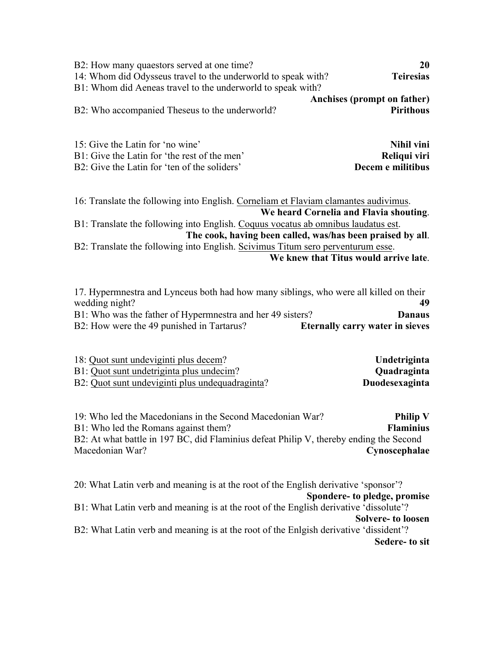| B2: How many quaestors served at one time?                                                                                                                                                                                                                                                                                                                                                                   | 20                                                            |
|--------------------------------------------------------------------------------------------------------------------------------------------------------------------------------------------------------------------------------------------------------------------------------------------------------------------------------------------------------------------------------------------------------------|---------------------------------------------------------------|
| 14: Whom did Odysseus travel to the underworld to speak with?                                                                                                                                                                                                                                                                                                                                                | <b>Teiresias</b>                                              |
| B1: Whom did Aeneas travel to the underworld to speak with?                                                                                                                                                                                                                                                                                                                                                  | Anchises (prompt on father)                                   |
| B2: Who accompanied Theseus to the underworld?                                                                                                                                                                                                                                                                                                                                                               | <b>Pirithous</b>                                              |
| 15: Give the Latin for 'no wine'                                                                                                                                                                                                                                                                                                                                                                             | Nihil vini                                                    |
| B1: Give the Latin for 'the rest of the men'                                                                                                                                                                                                                                                                                                                                                                 | Reliqui viri                                                  |
| B2: Give the Latin for 'ten of the soliders'                                                                                                                                                                                                                                                                                                                                                                 | Decem e militibus                                             |
| 16: Translate the following into English. Corneliam et Flaviam clamantes audivimus.<br>We heard Cornelia and Flavia shouting.<br>B1: Translate the following into English. Coquus vocatus ab omnibus laudatus est.<br>The cook, having been called, was/has been praised by all.<br>B2: Translate the following into English. Scivimus Titum sero perventurum esse.<br>We knew that Titus would arrive late. |                                                               |
| 17. Hypermnestra and Lynceus both had how many siblings, who were all killed on their<br>wedding night?<br>B1: Who was the father of Hypermnestra and her 49 sisters?<br>B2: How were the 49 punished in Tartarus?                                                                                                                                                                                           | 49<br><b>Danaus</b><br><b>Eternally carry water in sieves</b> |
| 18: Quot sunt undeviginti plus decem?                                                                                                                                                                                                                                                                                                                                                                        | Undetriginta                                                  |
| B1: Quot sunt undetriginta plus undecim?                                                                                                                                                                                                                                                                                                                                                                     | Quadraginta                                                   |
| B2: Quot sunt undeviginti plus undequadraginta?                                                                                                                                                                                                                                                                                                                                                              | Duodesexaginta                                                |
| 19: Who led the Macedonians in the Second Macedonian War?<br>B1: Who led the Romans against them?<br>B2: At what battle in 197 BC, did Flaminius defeat Philip V, thereby ending the Second<br>Macedonian War?                                                                                                                                                                                               | <b>Philip V</b><br><b>Flaminius</b><br>Cynoscephalae          |

20: What Latin verb and meaning is at the root of the English derivative 'sponsor'? **Spondere- to pledge, promise** B1: What Latin verb and meaning is at the root of the English derivative 'dissolute'? **Solvere- to loosen** B2: What Latin verb and meaning is at the root of the Enlgish derivative 'dissident'? **Sedere- to sit**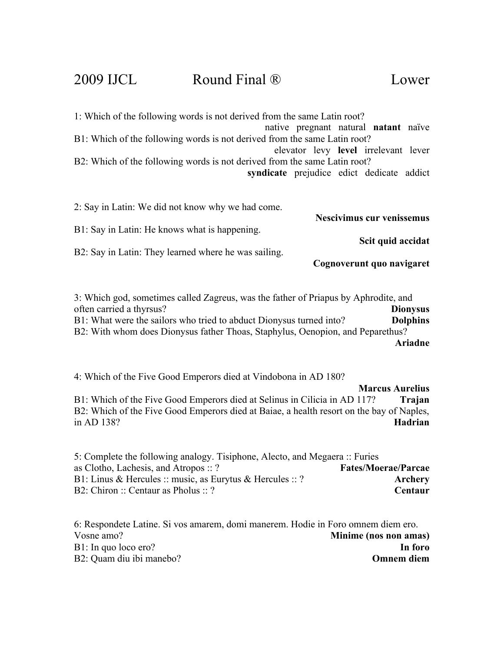### 2009 IJCL Round Final ® Lower

1: Which of the following words is not derived from the same Latin root? native pregnant natural **natant** naïve B1: Which of the following words is not derived from the same Latin root? elevator levy **level** irrelevant lever B2: Which of the following words is not derived from the same Latin root? **syndicate** prejudice edict dedicate addict

2: Say in Latin: We did not know why we had come. **Nescivimus cur venissemus** B1: Say in Latin: He knows what is happening. **Scit quid accidat** B2: Say in Latin: They learned where he was sailing. **Cognoverunt quo navigaret**

3: Which god, sometimes called Zagreus, was the father of Priapus by Aphrodite, and often carried a thyrsus? **Dionysus** B1: What were the sailors who tried to abduct Dionysus turned into? **Dolphins** B2: With whom does Dionysus father Thoas, Staphylus, Oenopion, and Peparethus? **Ariadne**

4: Which of the Five Good Emperors died at Vindobona in AD 180?

**Marcus Aurelius** B1: Which of the Five Good Emperors died at Selinus in Cilicia in AD 117? **Trajan** B2: Which of the Five Good Emperors died at Baiae, a health resort on the bay of Naples,<br>in AD 138?<br>**Hadrian** in AD 138? **Hadrian**

5: Complete the following analogy. Tisiphone, Alecto, and Megaera :: Furies as Clotho, Lachesis, and Atropos :: ? **Fates/Moerae/Parcae** B1: Linus & Hercules :: music, as Eurytus & Hercules :: ? **Archery** B2: Chiron :: Centaur as Pholus :: ? **Centaur**

6: Respondete Latine. Si vos amarem, domi manerem. Hodie in Foro omnem diem ero. Vosne amo? **Minime (nos non amas)** B1: In quo loco ero? **In foro** B2: Quam diu ibi manebo? **Omnem diem**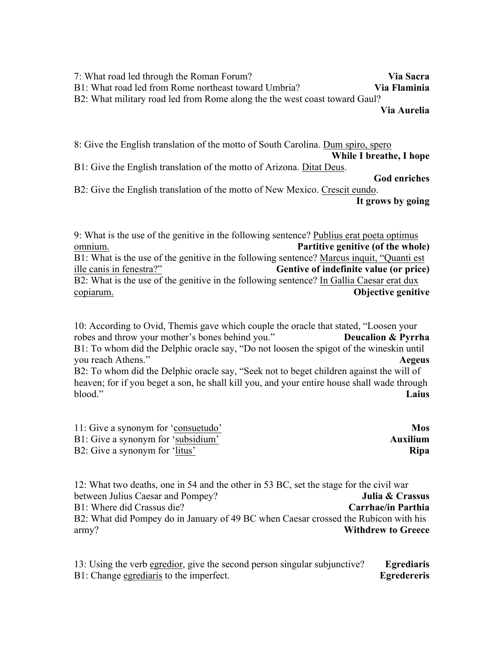7: What road led through the Roman Forum? **Via Sacra** B1: What road led from Rome northeast toward Umbria? **Via Flaminia** B2: What military road led from Rome along the the west coast toward Gaul? **Via Aurelia**

8: Give the English translation of the motto of South Carolina. Dum spiro, spero **While I breathe, I hope** B1: Give the English translation of the motto of Arizona. Ditat Deus. **God enriches**

B2: Give the English translation of the motto of New Mexico. Crescit eundo. **It grows by going**

9: What is the use of the genitive in the following sentence? Publius erat poeta optimus omnium. **Partitive genitive (of the whole)** B1: What is the use of the genitive in the following sentence? Marcus inquit, "Quanti est ille canis in fenestra?" **Gentive of indefinite value (or price)** B2: What is the use of the genitive in the following sentence? In Gallia Caesar erat dux copiarum. **Objective genitive**

10: According to Ovid, Themis gave which couple the oracle that stated, "Loosen your robes and throw your mother's bones behind you." **Deucalion & Pyrrha** B1: To whom did the Delphic oracle say, "Do not loosen the spigot of the wineskin until you reach Athens." **Aegeus** B2: To whom did the Delphic oracle say, "Seek not to beget children against the will of heaven; for if you beget a son, he shall kill you, and your entire house shall wade through blood." **Laius**

| 11: Give a synonym for 'consuetudo' | <b>Mos</b>  |
|-------------------------------------|-------------|
| B1: Give a synonym for 'subsidium'  | Auxilium    |
| B2: Give a synonym for 'litus'      | <b>Ripa</b> |

12: What two deaths, one in 54 and the other in 53 BC, set the stage for the civil war between Julius Caesar and Pompey? **Julia & Crassus** B1: Where did Crassus die? **Carrhae/in Parthia** B2: What did Pompey do in January of 49 BC when Caesar crossed the Rubicon with his army? **Withdrew to Greece**

13: Using the verb egredior, give the second person singular subjunctive? **Egrediaris** B1: Change egrediaris to the imperfect. **Egredereris**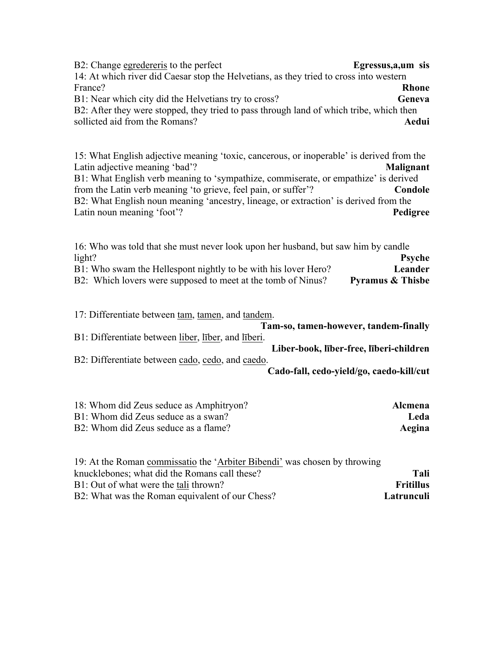B2: Change egredereris to the perfect **Egressus,a,um sis** 14: At which river did Caesar stop the Helvetians, as they tried to cross into western France? **Rhone** B1: Near which city did the Helvetians try to cross? **Geneva** B2: After they were stopped, they tried to pass through land of which tribe, which then sollicted aid from the Romans? **Aedui**

15: What English adjective meaning 'toxic, cancerous, or inoperable' is derived from the Latin adjective meaning 'bad'? **Malignant** B1: What English verb meaning to 'sympathize, commiserate, or empathize' is derived from the Latin verb meaning 'to grieve, feel pain, or suffer'? **Condole** B2: What English noun meaning 'ancestry, lineage, or extraction' is derived from the Latin noun meaning 'foot'? **Pedigree**

16: Who was told that she must never look upon her husband, but saw him by candle light? **Psyche** B1: Who swam the Hellespont nightly to be with his lover Hero? **Leander** B2: Which lovers were supposed to meet at the tomb of Ninus? Pyramus & Thisbe

17: Differentiate between tam, tamen, and tandem. **Tam-so, tamen-however, tandem-finally** B1: Differentiate between liber, līber, and līberi. **Liber-book, līber-free, līberi-children** B2: Differentiate between cado, cedo, and caedo. **Cado-fall, cedo-yield/go, caedo-kill/cut**

| 18: Whom did Zeus seduce as Amphitryon? | <b>Alcmena</b> |
|-----------------------------------------|----------------|
| B1: Whom did Zeus seduce as a swan?     | Leda           |
| B2: Whom did Zeus seduce as a flame?    | Aegina         |

| 19: At the Roman commissatio the 'Arbiter Bibendi' was chosen by throwing |                  |
|---------------------------------------------------------------------------|------------------|
| knucklebones; what did the Romans call these?                             | Tali             |
| B1: Out of what were the tali thrown?                                     | <b>Fritillus</b> |
| B2: What was the Roman equivalent of our Chess?                           | Latrunculi       |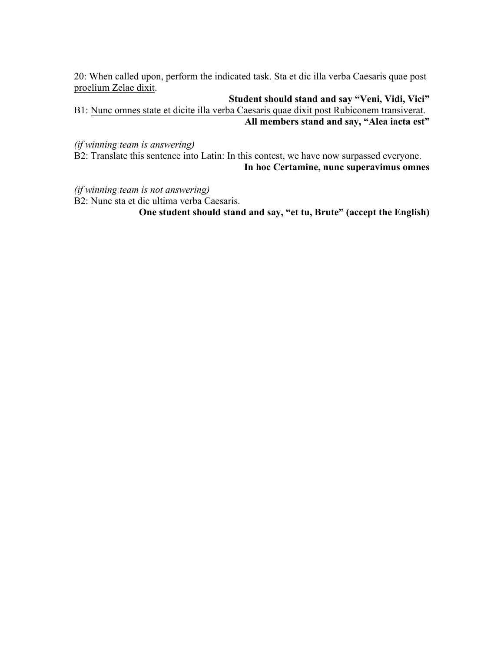20: When called upon, perform the indicated task. Sta et dic illa verba Caesaris quae post proelium Zelae dixit.

**Student should stand and say "Veni, Vidi, Vici"**  B1: Nunc omnes state et dicite illa verba Caesaris quae dixit post Rubiconem transiverat. **All members stand and say, "Alea iacta est"** 

*(if winning team is answering)*

B2: Translate this sentence into Latin: In this contest, we have now surpassed everyone. **In hoc Certamine, nunc superavimus omnes**

*(if winning team is not answering)*

B2: Nunc sta et dic ultima verba Caesaris. **One student should stand and say, "et tu, Brute" (accept the English)**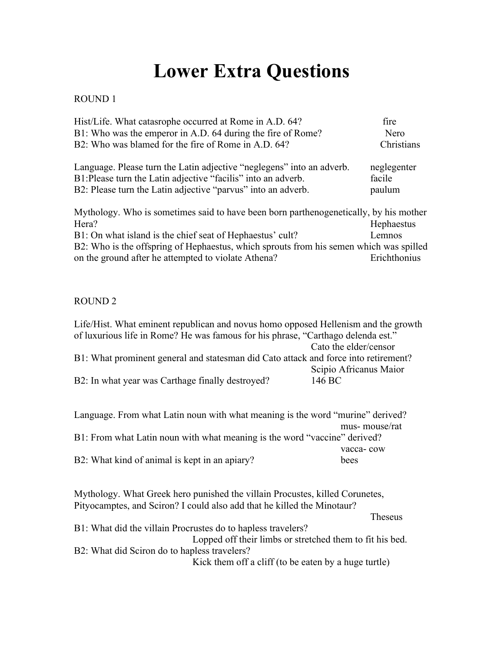# **Lower Extra Questions**

#### ROUND 1

| Hist/Life. What catasrophe occurred at Rome in A.D. 64?                                | fire         |
|----------------------------------------------------------------------------------------|--------------|
| B1: Who was the emperor in A.D. 64 during the fire of Rome?                            | Nero         |
| B2: Who was blamed for the fire of Rome in A.D. 64?                                    | Christians   |
| Language. Please turn the Latin adjective "neglegens" into an adverb.                  | neglegenter  |
| B1: Please turn the Latin adjective "facilis" into an adverb.                          | facile       |
| B2: Please turn the Latin adjective "parvus" into an adverb.                           | paulum       |
| Mythology. Who is sometimes said to have been born parthenogenetically, by his mother  |              |
| Hera?                                                                                  | Hephaestus   |
| B1: On what island is the chief seat of Hephaestus' cult?                              | Lemnos       |
| B2: Who is the offspring of Hephaestus, which sprouts from his semen which was spilled |              |
| on the ground after he attempted to violate Athena?                                    | Erichthonius |
|                                                                                        |              |

#### ROUND 2

| Life/Hist. What eminent republican and novus homo opposed Hellenism and the growth  |                        |
|-------------------------------------------------------------------------------------|------------------------|
| of luxurious life in Rome? He was famous for his phrase, "Carthago delenda est."    |                        |
|                                                                                     | Cato the elder/censor  |
| B1: What prominent general and statesman did Cato attack and force into retirement? |                        |
|                                                                                     | Scipio Africanus Maior |
| B2: In what year was Carthage finally destroyed?                                    | 146 BC                 |

| Language. From what Latin noun with what meaning is the word "murine" derived? |               |
|--------------------------------------------------------------------------------|---------------|
|                                                                                | mus-mouse/rat |
| B1: From what Latin noun with what meaning is the word "vaccine" derived?      |               |
|                                                                                | vacca-cow     |
| B2: What kind of animal is kept in an apiary?                                  | bees          |

Mythology. What Greek hero punished the villain Procustes, killed Corunetes, Pityocamptes, and Sciron? I could also add that he killed the Minotaur?

Theseus

| B1: What did the villain Procrustes do to hapless travelers? |
|--------------------------------------------------------------|
| Lopped off their limbs or stretched them to fit his bed.     |
| B2: What did Sciron do to hapless travelers?                 |
| Kick them off a cliff (to be eaten by a huge turtle)         |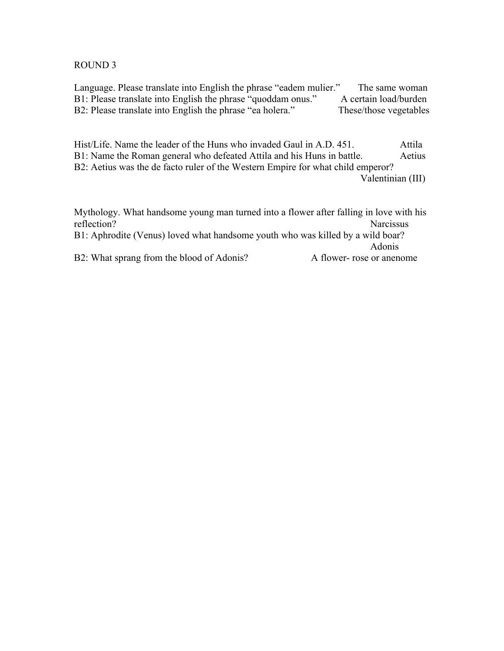#### ROUND 3

Language. Please translate into English the phrase "eadem mulier." The same woman B1: Please translate into English the phrase "quoddam onus." A certain load/burden B2: Please translate into English the phrase "ea holera." These/those vegetables

Hist/Life. Name the leader of the Huns who invaded Gaul in A.D. 451. Attila B1: Name the Roman general who defeated Attila and his Huns in battle. Aetius B2: Aetius was the de facto ruler of the Western Empire for what child emperor? Valentinian (III)

Mythology. What handsome young man turned into a flower after falling in love with his reflection? Narcissus B1: Aphrodite (Venus) loved what handsome youth who was killed by a wild boar? Adonis B2: What sprang from the blood of Adonis? A flower- rose or anenome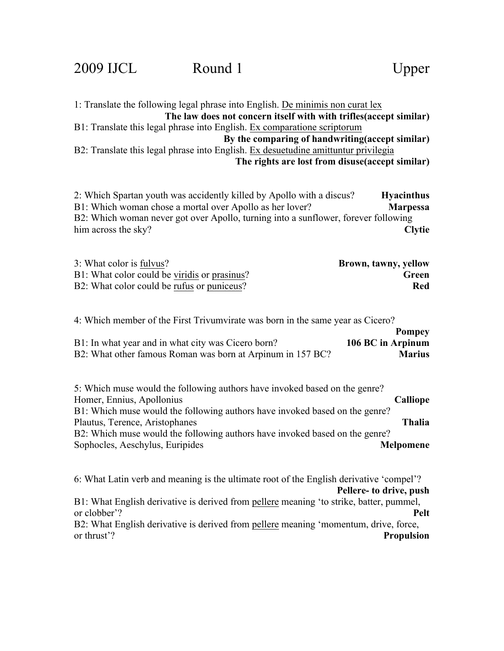1: Translate the following legal phrase into English. De minimis non curat lex **The law does not concern itself with with trifles(accept similar)** B1: Translate this legal phrase into English. Ex comparatione scriptorum **By the comparing of handwriting(accept similar)** B2: Translate this legal phrase into English. Ex desuetudine amittuntur privilegia **The rights are lost from disuse(accept similar)**

2: Which Spartan youth was accidently killed by Apollo with a discus? **Hyacinthus** B1: Which woman chose a mortal over Apollo as her lover? **Marpessa** B2: Which woman never got over Apollo, turning into a sunflower, forever following him across the sky? **Clytie**

| 3: What color is fulvus?                     | Brown, tawny, yellow |
|----------------------------------------------|----------------------|
| B1: What color could be viridis or prasinus? | Green                |
| B2: What color could be rufus or puniceus?   | Red                  |

4: Which member of the First Trivumvirate was born in the same year as Cicero?

|                                                            | <b>Pompey</b>     |
|------------------------------------------------------------|-------------------|
| B1: In what year and in what city was Cicero born?         | 106 BC in Arpinum |
| B2: What other famous Roman was born at Arpinum in 157 BC? | <b>Marius</b>     |

| Calliope         |
|------------------|
|                  |
| <b>Thalia</b>    |
|                  |
| <b>Melpomene</b> |
|                  |

6: What Latin verb and meaning is the ultimate root of the English derivative 'compel'?

### **Pellere- to drive, push**

B1: What English derivative is derived from pellere meaning 'to strike, batter, pummel, or clobber'? **Pelt**

B2: What English derivative is derived from pellere meaning 'momentum, drive, force, or thrust'? **Propulsion**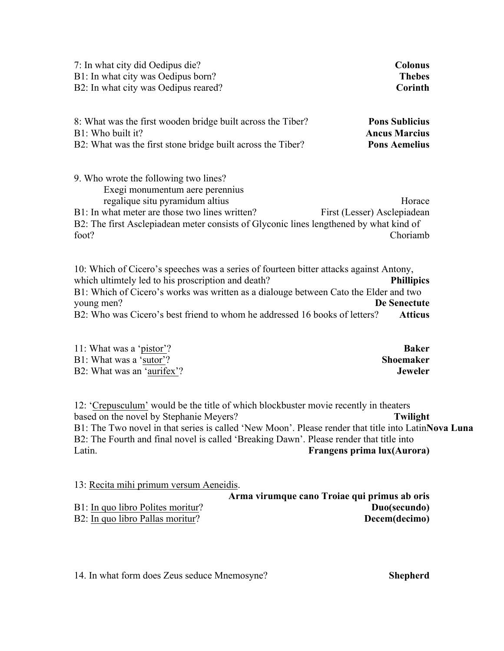| 7: In what city did Oedipus die?                                                                                                                                                                                                                                 | <b>Colonus</b>                                    |
|------------------------------------------------------------------------------------------------------------------------------------------------------------------------------------------------------------------------------------------------------------------|---------------------------------------------------|
| B1: In what city was Oedipus born?                                                                                                                                                                                                                               | <b>Thebes</b>                                     |
| B2: In what city was Oedipus reared?                                                                                                                                                                                                                             | Corinth                                           |
| 8: What was the first wooden bridge built across the Tiber?                                                                                                                                                                                                      | <b>Pons Sublicius</b>                             |
| B1: Who built it?                                                                                                                                                                                                                                                | <b>Ancus Marcius</b>                              |
| B2: What was the first stone bridge built across the Tiber?                                                                                                                                                                                                      | <b>Pons Aemelius</b>                              |
| 9. Who wrote the following two lines?<br>Exegi monumentum aere perennius<br>regalique situ pyramidum altius<br>B1: In what meter are those two lines written?<br>B2: The first Asclepiadean meter consists of Glyconic lines lengthened by what kind of<br>foot? | Horace<br>First (Lesser) Asclepiadean<br>Choriamb |
| 10. Which of Cicero's speeches was a series of fourteen bitter attacks against Antony,<br>which ultimiday led to his proscription and death?<br>B1: Which of Cicero's works was written as a dialouge between Cato the Elder and two<br>young men?               | <b>Phillipics</b><br>De Senectute                 |

B2: Who was Cicero's best friend to whom he addressed 16 books of letters? **Atticus**

| 11: What was a 'pistor'?   | Baker          |
|----------------------------|----------------|
| B1: What was a 'sutor'?    | Shoemaker      |
| B2: What was an 'aurifex'? | <b>Jeweler</b> |

12: 'Crepusculum' would be the title of which blockbuster movie recently in theaters based on the novel by Stephanie Meyers? **Twilight** B1: The Two novel in that series is called 'New Moon'. Please render that title into Latin**Nova Luna** B2: The Fourth and final novel is called 'Breaking Dawn'. Please render that title into Latin. **Frangens prima lux(Aurora)**

13: Recita mihi primum versum Aeneidis.

|                                   | Arma virumque cano Troiae qui primus ab oris |
|-----------------------------------|----------------------------------------------|
| B1: In quo libro Polites moritur? | Duo(secundo)                                 |
| B2: In quo libro Pallas moritur?  | Decem(decimo)                                |

14. In what form does Zeus seduce Mnemosyne? **Shepherd**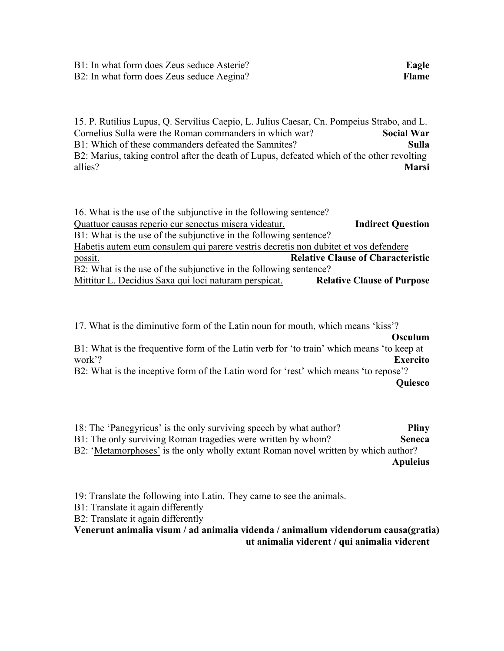15. P. Rutilius Lupus, Q. Servilius Caepio, L. Julius Caesar, Cn. Pompeius Strabo, and L. Cornelius Sulla were the Roman commanders in which war? **Social War** B1: Which of these commanders defeated the Samnites? **Sulla** B2: Marius, taking control after the death of Lupus, defeated which of the other revolting allies? **Marsi**

| <b>Indirect Question</b>                                                            |
|-------------------------------------------------------------------------------------|
|                                                                                     |
| Habetis autem eum consulem qui parere vestris decretis non dubitet et vos defendere |
| <b>Relative Clause of Characteristic</b>                                            |
|                                                                                     |
| <b>Relative Clause of Purpose</b>                                                   |
|                                                                                     |

17. What is the diminutive form of the Latin noun for mouth, which means 'kiss'? **Osculum** B1: What is the frequentive form of the Latin verb for 'to train' which means 'to keep at work'? **Exercito** B2: What is the inceptive form of the Latin word for 'rest' which means 'to repose'? **Quiesco**

- 18: The 'Panegyricus' is the only surviving speech by what author? **Pliny** B1: The only surviving Roman tragedies were written by whom? **Seneca**
- B2: 'Metamorphoses' is the only wholly extant Roman novel written by which author? **Apuleius**
- 19: Translate the following into Latin. They came to see the animals.
- B1: Translate it again differently
- B2: Translate it again differently

**Venerunt animalia visum / ad animalia videnda / animalium videndorum causa(gratia) ut animalia viderent / qui animalia viderent**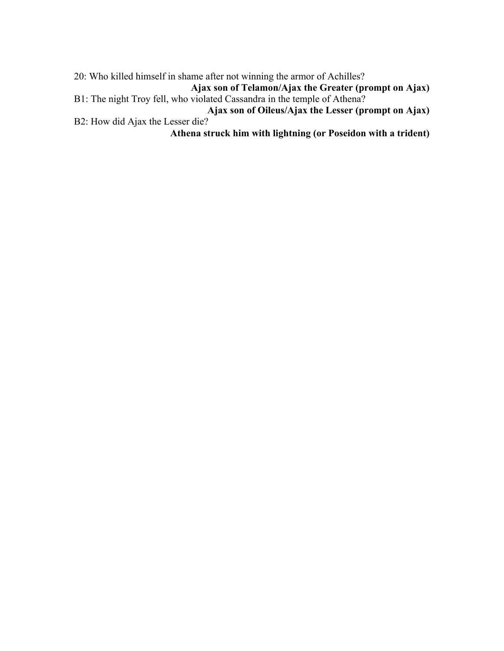20: Who killed himself in shame after not winning the armor of Achilles?

**Ajax son of Telamon/Ajax the Greater (prompt on Ajax)** B1: The night Troy fell, who violated Cassandra in the temple of Athena?

**Ajax son of Oileus/Ajax the Lesser (prompt on Ajax)** B2: How did Ajax the Lesser die?

**Athena struck him with lightning (or Poseidon with a trident)**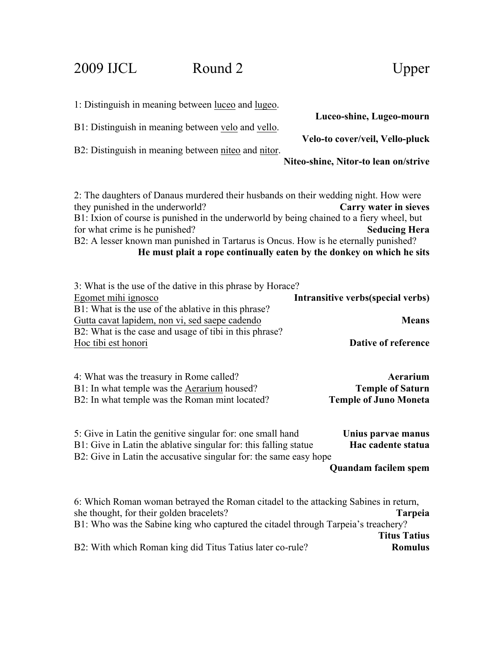### 2009 IJCL Round 2 Upper

| 1: Distinguish in meaning between luceo and lugeo.                                                                                                                                                                                                                                                                                           |                                                                                                                        |
|----------------------------------------------------------------------------------------------------------------------------------------------------------------------------------------------------------------------------------------------------------------------------------------------------------------------------------------------|------------------------------------------------------------------------------------------------------------------------|
| B1: Distinguish in meaning between velo and vello.                                                                                                                                                                                                                                                                                           | Luceo-shine, Lugeo-mourn                                                                                               |
| B2: Distinguish in meaning between niteo and nitor.                                                                                                                                                                                                                                                                                          | Velo-to cover/veil, Vello-pluck                                                                                        |
|                                                                                                                                                                                                                                                                                                                                              | Niteo-shine, Nitor-to lean on/strive                                                                                   |
| 2: The daughters of Danaus murdered their husbands on their wedding night. How were<br>they punished in the underworld?<br>B1: Ixion of course is punished in the underworld by being chained to a fiery wheel, but<br>for what crime is he punished?<br>B2: A lesser known man punished in Tartarus is Oncus. How is he eternally punished? | Carry water in sieves<br><b>Seducing Hera</b><br>He must plait a rope continually eaten by the donkey on which he sits |
| 3: What is the use of the dative in this phrase by Horace?<br>Egomet mihi ignosco                                                                                                                                                                                                                                                            | Intransitive verbs(special verbs)                                                                                      |
| B1: What is the use of the ablative in this phrase?<br>Gutta cavat lapidem, non vi, sed saepe cadendo                                                                                                                                                                                                                                        | <b>Means</b>                                                                                                           |
| B2: What is the case and usage of tibi in this phrase?<br>Hoc tibi est honori                                                                                                                                                                                                                                                                | Dative of reference                                                                                                    |
| 4: What was the treasury in Rome called?<br>B1: In what temple was the Aerarium housed?<br>B2: In what temple was the Roman mint located?                                                                                                                                                                                                    | Aerarium<br><b>Temple of Saturn</b><br><b>Temple of Juno Moneta</b>                                                    |
| 5: Give in Latin the genitive singular for: one small hand<br>B1: Give in Latin the ablative singular for: this falling statue<br>B2: Give in Latin the accusative singular for: the same easy hope                                                                                                                                          | Unius parvae manus<br>Hac cadente statua                                                                               |
|                                                                                                                                                                                                                                                                                                                                              | Quandam facilem spem                                                                                                   |
| 6: Which Roman woman betrayed the Roman citadel to the attacking Sabines in return,<br>she thought, for their golden bracelets?<br>B1: Who was the Sabine king who captured the citadel through Tarpeia's treachery?                                                                                                                         | <b>Tarpeia</b>                                                                                                         |

**Titus Tatius** B2: With which Roman king did Titus Tatius later co-rule?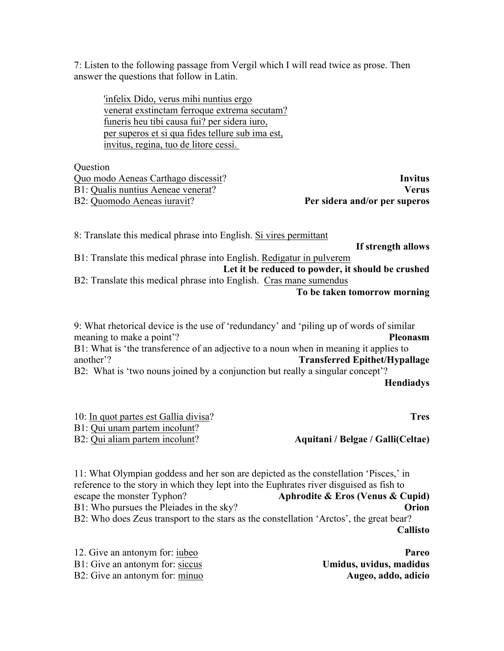7: Listen to the following passage from Vergil which I will read twice as prose. Then answer the questions that follow in Latin.

'infelix Dido, verus mihi nuntius ergo venerat exstinctam ferroque extrema secutam? funeris heu tibi causa fui? per sidera iuro, per superos et si qua fides tellure sub ima est, invitus, regina, tuo de litore cessi.

**Ouestion** 

| Invitus                       |
|-------------------------------|
| <b>Verus</b>                  |
| Per sidera and/or per superos |
|                               |

8: Translate this medical phrase into English. Si vires permittant **If strength allows**  B1: Translate this medical phrase into English. Redigatur in pulverem **Let it be reduced to powder, it should be crushed** B2: Translate this medical phrase into English. Cras mane sumendus **To be taken tomorrow morning**

9: What rhetorical device is the use of 'redundancy' and 'piling up of words of similar meaning to make a point'? **Pleonasm** B1: What is 'the transference of an adjective to a noun when in meaning it applies to another'? **Transferred Epithet/Hypallage** B2: What is 'two nouns joined by a conjunction but really a singular concept'? **Hendiadys**

| 10: In quot partes est Gallia divisa? | <b>Tres</b>                       |
|---------------------------------------|-----------------------------------|
| B1: Qui unam partem incolunt?         |                                   |
| B2: Qui aliam partem incolunt?        | Aquitani / Belgae / Galli(Celtae) |

11: What Olympian goddess and her son are depicted as the constellation 'Pisces,' in reference to the story in which they lept into the Euphrates river disguised as fish to escape the monster Typhon? **Aphrodite & Eros (Venus & Cupid)** B1: Who pursues the Pleiades in the sky? **Orion** B2: Who does Zeus transport to the stars as the constellation 'Arctos', the great bear? **Callisto**

| 12. Give an antonym for: jubeo  | Pareo                   |
|---------------------------------|-------------------------|
| B1: Give an antonym for: siccus | Umidus, uvidus, madidus |
| B2: Give an antonym for: minuo  | Augeo, addo, adicio     |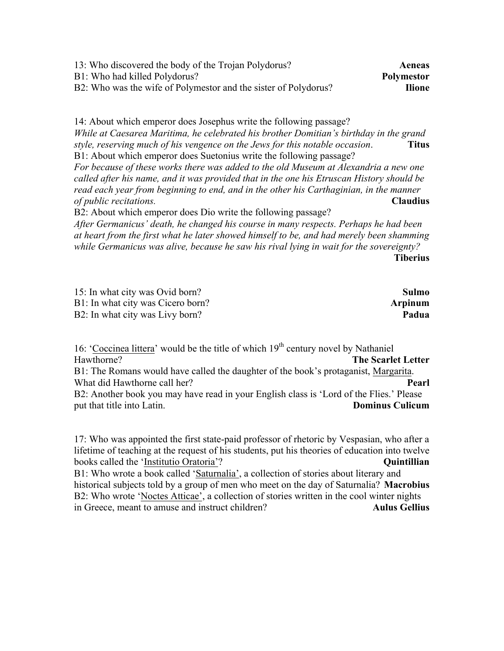| 13: Who discovered the body of the Trojan Polydorus?                                      | Aeneas            |
|-------------------------------------------------------------------------------------------|-------------------|
| B1: Who had killed Polydorus?                                                             | <b>Polymestor</b> |
| B2: Who was the wife of Polymestor and the sister of Polydorus?                           | <b>Ilione</b>     |
|                                                                                           |                   |
| 14: About which emperor does Josephus write the following passage?                        |                   |
| While at Caesarea Maritima, he celebrated his brother Domitian's birthday in the grand    |                   |
| style, reserving much of his vengence on the Jews for this notable occasion.              | <b>Titus</b>      |
| B1: About which emperor does Suetonius write the following passage?                       |                   |
| For because of these works there was added to the old Museum at Alexandria a new one      |                   |
| called after his name, and it was provided that in the one his Etruscan History should be |                   |
| read each year from beginning to end, and in the other his Carthaginian, in the manner    |                   |
| of public recitations.                                                                    | <b>Claudius</b>   |
| B2: About which emperor does Dio write the following passage?                             |                   |

*After Germanicus' death, he changed his course in many respects. Perhaps he had been at heart from the first what he later showed himself to be, and had merely been shamming while Germanicus was alive, because he saw his rival lying in wait for the sovereignty?* **Tiberius** 

| 15: In what city was Ovid born?   | <b>Sulmo</b>   |
|-----------------------------------|----------------|
| B1: In what city was Cicero born? | <b>Arpinum</b> |
| B2: In what city was Livy born?   | Padua          |

16: 'Coccinea littera' would be the title of which  $19<sup>th</sup>$  century novel by Nathaniel Hawthorne? **The Scarlet Letter** B1: The Romans would have called the daughter of the book's protaganist, Margarita. What did Hawthorne call her? **Pearl** B2: Another book you may have read in your English class is 'Lord of the Flies.' Please put that title into Latin. **Dominus Culicum**

17: Who was appointed the first state-paid professor of rhetoric by Vespasian, who after a lifetime of teaching at the request of his students, put his theories of education into twelve books called the 'Institutio Oratoria'? B1: Who wrote a book called 'Saturnalia', a collection of stories about literary and

historical subjects told by a group of men who meet on the day of Saturnalia? **Macrobius** B2: Who wrote 'Noctes Atticae', a collection of stories written in the cool winter nights in Greece, meant to amuse and instruct children? **Aulus Gellius**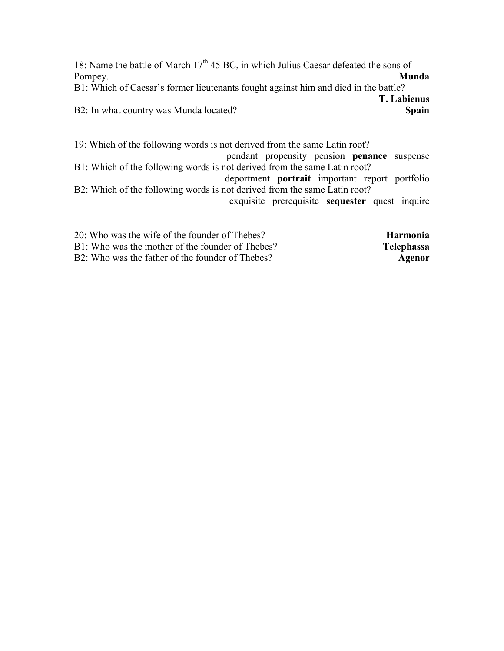18: Name the battle of March  $17<sup>th</sup> 45$  BC, in which Julius Caesar defeated the sons of Pompey. **Munda** 

B1: Which of Caesar's former lieutenants fought against him and died in the battle? **T. Labienus**

B2: In what country was Munda located? **Spain** 

19: Which of the following words is not derived from the same Latin root? pendant propensity pension **penance** suspense B1: Which of the following words is not derived from the same Latin root? deportment **portrait** important report portfolio B2: Which of the following words is not derived from the same Latin root? exquisite prerequisite **sequester** quest inquire

20: Who was the wife of the founder of Thebes? **Harmonia** B1: Who was the mother of the founder of Thebes? **Telephassa** B2: Who was the father of the founder of Thebes? **Agenor**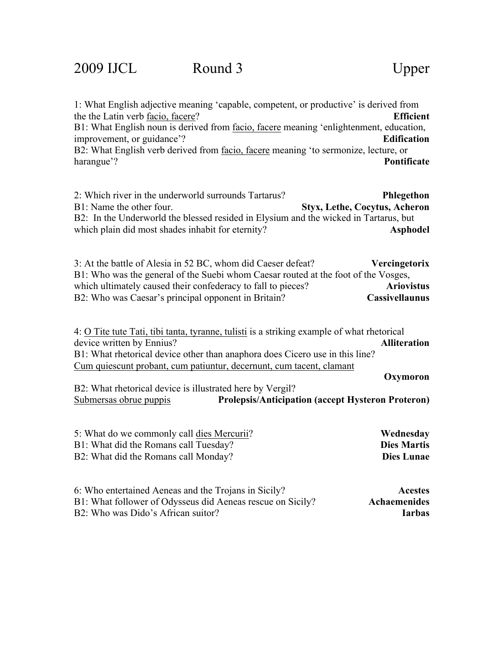1: What English adjective meaning 'capable, competent, or productive' is derived from the the Latin verb facio, facere? **Efficient** B1: What English noun is derived from facio, facere meaning 'enlightenment, education, improvement, or guidance'? **Edification** B2: What English verb derived from facio, facere meaning 'to sermonize, lecture, or harangue'? **Pontificate**

| 2: Which river in the underworld surrounds Tartarus?                                 | Phlegethon                    |
|--------------------------------------------------------------------------------------|-------------------------------|
| B1: Name the other four.                                                             | Styx, Lethe, Cocytus, Acheron |
| B2: In the Underworld the blessed resided in Elysium and the wicked in Tartarus, but |                               |
| which plain did most shades in habit for eternity?                                   | Asphodel                      |

3: At the battle of Alesia in 52 BC, whom did Caeser defeat? **Vercingetorix** B1: Who was the general of the Suebi whom Caesar routed at the foot of the Vosges, which ultimately caused their confederacy to fall to pieces? **Ariovistus** B2: Who was Caesar's principal opponent in Britain? **Cassivellaunus**

4: O Tite tute Tati, tibi tanta, tyranne, tulisti is a striking example of what rhetorical device written by Ennius? **Alliteration** B1: What rhetorical device other than anaphora does Cicero use in this line? Cum quiescunt probant, cum patiuntur, decernunt, cum tacent, clamant **Oxymoron**

B2: What rhetorical device is illustrated here by Vergil? Submersas obrue puppis **Prolepsis/Anticipation (accept Hysteron Proteron)**

| 5: What do we commonly call dies Mercurii? | Wednesday          |
|--------------------------------------------|--------------------|
| B1: What did the Romans call Tuesday?      | <b>Dies Martis</b> |
| B2: What did the Romans call Monday?       | Dies Lunae         |

| 6: Who entertained Aeneas and the Trojans in Sicily?       | <b>Acestes</b> |
|------------------------------------------------------------|----------------|
| B1: What follower of Odysseus did Aeneas rescue on Sicily? | Achaemenides   |
| B2: Who was Dido's African suitor?                         | <b>Iarbas</b>  |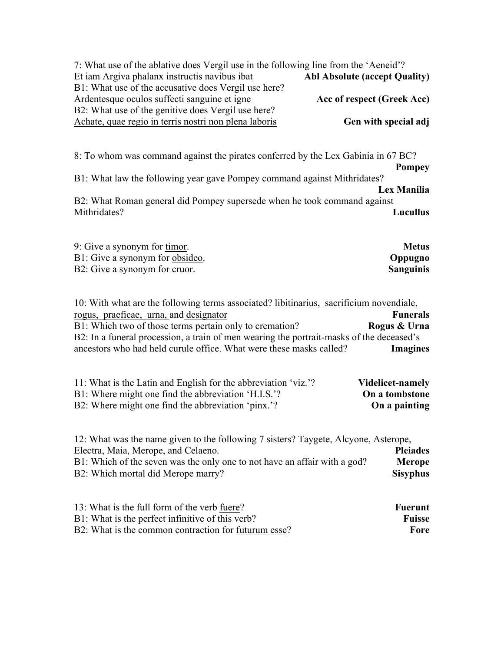| 7: What use of the ablative does Vergil use in the following line from the 'Aeneid'?<br><b>Abl Absolute (accept Quality)</b><br>Et iam Argiva phalanx instructis navibus ibat<br>B1: What use of the accusative does Vergil use here?<br>Ardentesque oculos suffecti sanguine et igne<br>Acc of respect (Greek Acc)<br>B2: What use of the genitive does Vergil use here?<br>Achate, quae regio in terris nostri non plena laboris<br>Gen with special adj |
|------------------------------------------------------------------------------------------------------------------------------------------------------------------------------------------------------------------------------------------------------------------------------------------------------------------------------------------------------------------------------------------------------------------------------------------------------------|
| 8: To whom was command against the pirates conferred by the Lex Gabinia in 67 BC?<br><b>Pompey</b><br>B1: What law the following year gave Pompey command against Mithridates?<br>Lex Manilia<br>B2: What Roman general did Pompey supersede when he took command against<br>Mithridates?<br>Lucullus                                                                                                                                                      |
| 9: Give a synonym for timor.<br><b>Metus</b><br>B1: Give a synonym for obsideo.<br>Oppugno<br>B2: Give a synonym for cruor.<br><b>Sanguinis</b>                                                                                                                                                                                                                                                                                                            |
| 10: With what are the following terms associated? libitinarius, sacrificium novendiale,<br><b>Funerals</b><br>rogus, praeficae, urna, and designator<br>B1: Which two of those terms pertain only to cremation?<br>Rogus & Urna<br>B2: In a funeral procession, a train of men wearing the portrait-masks of the deceased's<br>ancestors who had held curule office. What were these masks called?<br><b>Imagines</b>                                      |
| 11: What is the Latin and English for the abbreviation 'viz.'?<br><b>Videlicet-namely</b><br>B1: Where might one find the abbreviation 'H.I.S.'?<br>On a tombstone<br>B2: Where might one find the abbreviation 'pinx.'?<br>On a painting                                                                                                                                                                                                                  |
| 12: What was the name given to the following 7 sisters? Taygete, Alcyone, Asterope,<br>Electra, Maia, Merope, and Celaeno.<br><b>Pleiades</b><br>B1: Which of the seven was the only one to not have an affair with a god?<br><b>Merope</b><br>B2: Which mortal did Merope marry?<br><b>Sisyphus</b>                                                                                                                                                       |
| 13: What is the full form of the verb fuere?<br><b>Fuerunt</b><br><b>Fuisse</b><br>B1: What is the perfect infinitive of this verb?<br>B2: What is the common contraction for futurum esse?<br>Fore                                                                                                                                                                                                                                                        |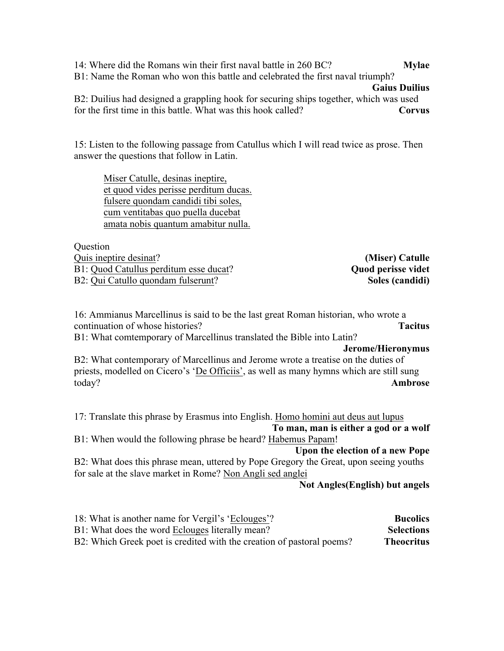14: Where did the Romans win their first naval battle in 260 BC? **Mylae** B1: Name the Roman who won this battle and celebrated the first naval triumph? **Gaius Duilius** B2: Duilius had designed a grappling hook for securing ships together, which was used

for the first time in this battle. What was this hook called? **Corvus**

15: Listen to the following passage from Catullus which I will read twice as prose. Then answer the questions that follow in Latin.

Miser Catulle, desinas ineptire, et quod vides perisse perditum ducas. fulsere quondam candidi tibi soles, cum ventitabas quo puella ducebat amata nobis quantum amabitur nulla.

**Ouestion** Quis ineptire desinat? **(Miser) Catulle** B1: Quod Catullus perditum esse ducat? **Quod perisse videt Quod perisse videt** B2: Qui Catullo quondam fulserunt? **Soles (candidi)**

16: Ammianus Marcellinus is said to be the last great Roman historian, who wrote a continuation of whose histories? **Tacitus** B1: What comtemporary of Marcellinus translated the Bible into Latin? **Jerome/Hieronymus** B2: What contemporary of Marcellinus and Jerome wrote a treatise on the duties of priests, modelled on Cicero's 'De Officiis', as well as many hymns which are still sung today? **Ambrose** 17: Translate this phrase by Erasmus into English. Homo homini aut deus aut lupus **To man, man is either a god or a wolf** B1: When would the following phrase be heard? Habemus Papam! **Upon the election of a new Pope** B2: What does this phrase mean, uttered by Pope Gregory the Great, upon seeing youths for sale at the slave market in Rome? Non Angli sed anglei **Not Angles(English) but angels**

| 18: What is another name for Vergil's 'Eclouges'?                     | <b>Bucolics</b>   |
|-----------------------------------------------------------------------|-------------------|
| B1: What does the word Eclouges literally mean?                       | <b>Selections</b> |
| B2: Which Greek poet is credited with the creation of pastoral poems? | <b>Theocritus</b> |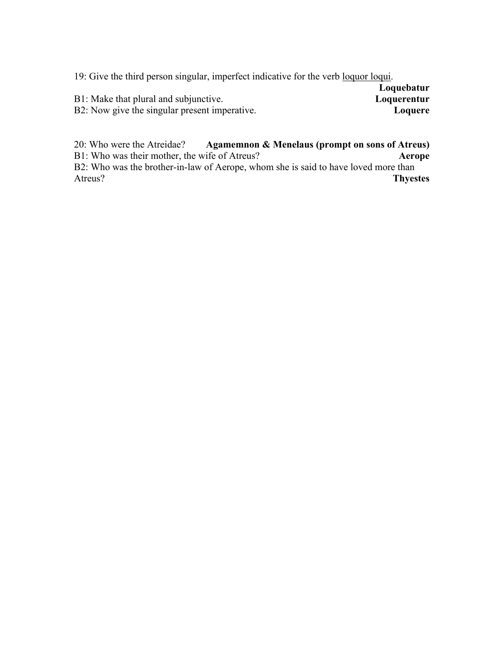19: Give the third person singular, imperfect indicative for the verb loquor loqui.

|                                               | Loquebatur  |
|-----------------------------------------------|-------------|
| B1: Make that plural and subjunctive.         | Loquerentur |
| B2: Now give the singular present imperative. | Loquere     |

20: Who were the Atreidae? **Agamemnon & Menelaus (prompt on sons of Atreus)** B1: Who was their mother, the wife of Atreus? **Aerope** B2: Who was the brother-in-law of Aerope, whom she is said to have loved more than Atreus? **Thyestes**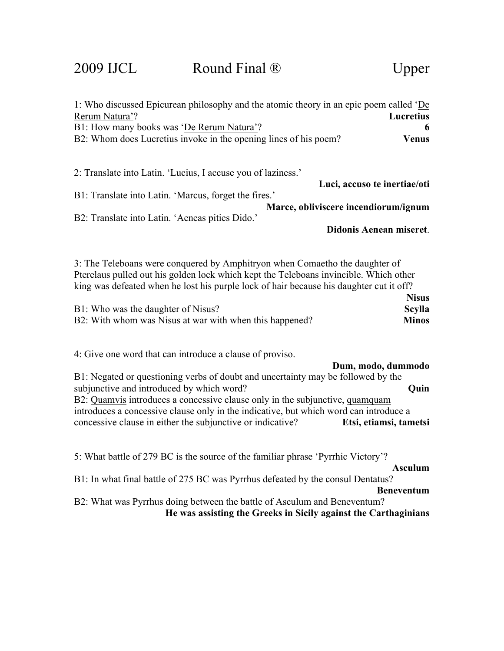2009 IJCL Round Final ® Upper

| 1: Who discussed Epicurean philosophy and the atomic theory in an epic poem called 'De<br>Rerum Natura'?<br>Lucretius                                                                                                                                                                                                                                                                                             |
|-------------------------------------------------------------------------------------------------------------------------------------------------------------------------------------------------------------------------------------------------------------------------------------------------------------------------------------------------------------------------------------------------------------------|
| 6                                                                                                                                                                                                                                                                                                                                                                                                                 |
| B1: How many books was 'De Rerum Natura'?<br>B2: Whom does Lucretius invoke in the opening lines of his poem?<br><b>Venus</b>                                                                                                                                                                                                                                                                                     |
| 2: Translate into Latin. 'Lucius, I accuse you of laziness.'<br>Luci, accuso te inertiae/oti                                                                                                                                                                                                                                                                                                                      |
| B1: Translate into Latin. 'Marcus, forget the fires.'                                                                                                                                                                                                                                                                                                                                                             |
| Marce, obliviscere incendiorum/ignum                                                                                                                                                                                                                                                                                                                                                                              |
| B2: Translate into Latin. 'Aeneas pities Dido.'                                                                                                                                                                                                                                                                                                                                                                   |
| Didonis Aenean miseret.                                                                                                                                                                                                                                                                                                                                                                                           |
| 3: The Teleboans were conquered by Amphitryon when Comaetho the daughter of<br>Pterelaus pulled out his golden lock which kept the Teleboans invincible. Which other<br>king was defeated when he lost his purple lock of hair because his daughter cut it off?<br><b>Nisus</b><br><b>Scylla</b><br>B1: Who was the daughter of Nisus?<br>B2: With whom was Nisus at war with when this happened?<br><b>Minos</b> |
| 4: Give one word that can introduce a clause of proviso.<br>Dum, modo, dummodo                                                                                                                                                                                                                                                                                                                                    |
| B1: Negated or questioning verbs of doubt and uncertainty may be followed by the<br>subjunctive and introduced by which word?<br>Quin<br>B2: Quamvis introduces a concessive clause only in the subjunctive, quamquam<br>introduces a concessive clause only in the indicative, but which word can introduce a<br>concessive clause in either the subjunctive or indicative?<br>Etsi, etiamsi, tametsi            |
| 5: What battle of 279 BC is the source of the familiar phrase 'Pyrrhic Victory'?<br><b>Asculum</b>                                                                                                                                                                                                                                                                                                                |
| B1: In what final battle of 275 BC was Pyrrhus defeated by the consul Dentatus?<br><b>Beneventum</b>                                                                                                                                                                                                                                                                                                              |
| B2: What was Pyrrhus doing between the battle of Asculum and Beneventum?<br>He was assisting the Greeks in Sicily against the Carthaginians                                                                                                                                                                                                                                                                       |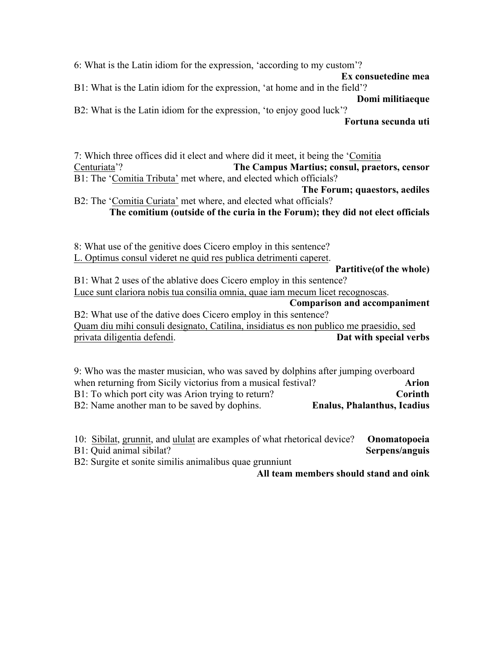6: What is the Latin idiom for the expression, 'according to my custom'?

**Ex consuetedine mea**

B1: What is the Latin idiom for the expression, 'at home and in the field'?

**Domi militiaeque** B2: What is the Latin idiom for the expression, 'to enjoy good luck'?

**Fortuna secunda uti**

7: Which three offices did it elect and where did it meet, it being the 'Comitia Centuriata'? **The Campus Martius; consul, praetors, censor** B1: The 'Comitia Tributa' met where, and elected which officials?

**The Forum; quaestors, aediles**

B2: The 'Comitia Curiata' met where, and elected what officials? **The comitium (outside of the curia in the Forum); they did not elect officials**

8: What use of the genitive does Cicero employ in this sentence? L. Optimus consul videret ne quid res publica detrimenti caperet.

**Partitive(of the whole)**

B1: What 2 uses of the ablative does Cicero employ in this sentence? Luce sunt clariora nobis tua consilia omnia, quae iam mecum licet recognoscas.

**Comparison and accompaniment**

B2: What use of the dative does Cicero employ in this sentence? Quam diu mihi consuli designato, Catilina, insidiatus es non publico me praesidio, sed privata diligentia defendi. **Dat with special verbs**

9: Who was the master musician, who was saved by dolphins after jumping overboard when returning from Sicily victorius from a musical festival? **Arion** B1: To which port city was Arion trying to return? **Corinth** B2: Name another man to be saved by dophins. **Enalus, Phalanthus, Icadius**

10: Sibilat, grunnit, and ululat are examples of what rhetorical device? **Onomatopoeia** B1: Quid animal sibilat? **Serpens/anguis**

B2: Surgite et sonite similis animalibus quae grunniunt

**All team members should stand and oink**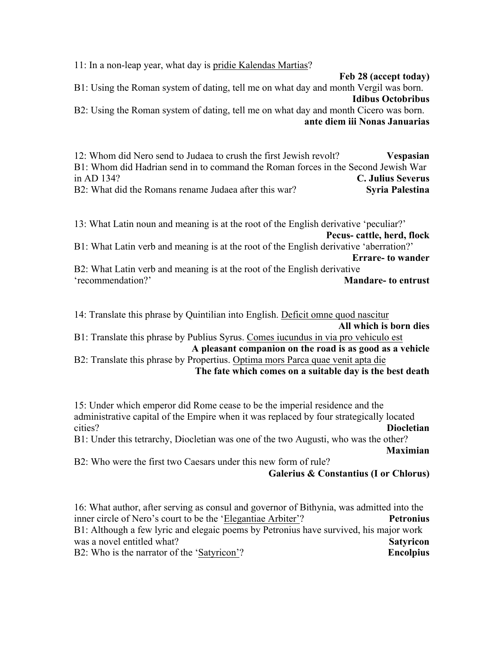11: In a non-leap year, what day is pridie Kalendas Martias?

**Feb 28 (accept today)**

B1: Using the Roman system of dating, tell me on what day and month Vergil was born. **Idibus Octobribus**

B2: Using the Roman system of dating, tell me on what day and month Cicero was born. **ante diem iii Nonas Januarias**

12: Whom did Nero send to Judaea to crush the first Jewish revolt? **Vespasian** B1: Whom did Hadrian send in to command the Roman forces in the Second Jewish War in AD 134? **C. Julius Severus** B2: What did the Romans rename Judaea after this war? **Syria Palestina** 

13: What Latin noun and meaning is at the root of the English derivative 'peculiar?' **Pecus- cattle, herd, flock** B1: What Latin verb and meaning is at the root of the English derivative 'aberration?' **Errare- to wander** B2: What Latin verb and meaning is at the root of the English derivative 'recommendation?' **Mandare- to entrust**

14: Translate this phrase by Quintilian into English. Deficit omne quod nascitur **All which is born dies**

B1: Translate this phrase by Publius Syrus. Comes iucundus in via pro vehiculo est **A pleasant companion on the road is as good as a vehicle**

B2: Translate this phrase by Propertius. Optima mors Parca quae venit apta die **The fate which comes on a suitable day is the best death**

15: Under which emperor did Rome cease to be the imperial residence and the administrative capital of the Empire when it was replaced by four strategically located cities? **Diocletian** B1: Under this tetrarchy, Diocletian was one of the two Augusti, who was the other?

**Maximian**

B2: Who were the first two Caesars under this new form of rule? **Galerius & Constantius (I or Chlorus)**

16: What author, after serving as consul and governor of Bithynia, was admitted into the inner circle of Nero's court to be the 'Elegantiae Arbiter'? **Petronius** B1: Although a few lyric and elegaic poems by Petronius have survived, his major work was a novel entitled what? **Satyricon** B2: Who is the narrator of the 'Satyricon'? **Encolpius**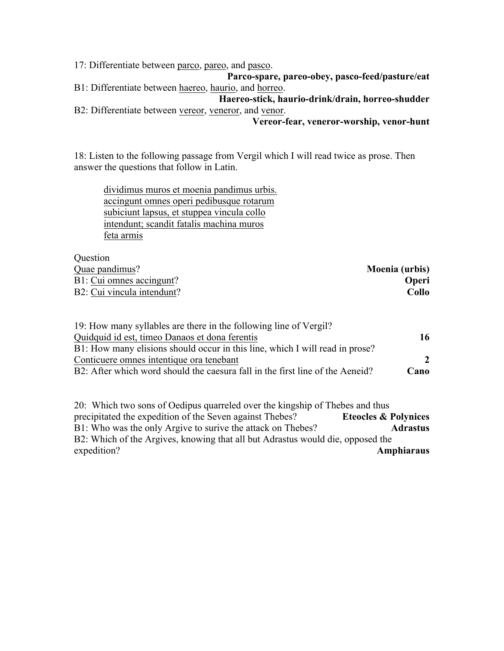17: Differentiate between parco, pareo, and pasco.

**Parco-spare, pareo-obey, pasco-feed/pasture/eat** B1: Differentiate between haereo, haurio, and horreo.

**Haereo-stick, haurio-drink/drain, horreo-shudder** B2: Differentiate between vereor, veneror, and venor.

#### **Vereor-fear, veneror-worship, venor-hunt**

18: Listen to the following passage from Vergil which I will read twice as prose. Then answer the questions that follow in Latin.

dividimus muros et moenia pandimus urbis. accingunt omnes operi pedibusque rotarum subiciunt lapsus, et stuppea vincula collo intendunt; scandit fatalis machina muros feta armis

Question

| <b>Ouvotion</b>            |                |
|----------------------------|----------------|
| Quae pandimus?             | Moenia (urbis) |
| B1: Cui omnes accingunt?   | <b>Operi</b>   |
| B2: Cui vincula intendunt? | Collo          |
|                            |                |

| 19: How many syllables are there in the following line of Vergil?             |                |
|-------------------------------------------------------------------------------|----------------|
| Quidquid id est, time Danaos et dona ferentis                                 | 16             |
| B1: How many elisions should occur in this line, which I will read in prose?  |                |
| Conticuere omnes intentique ora tenebant                                      | $\overline{2}$ |
| B2: After which word should the caesura fall in the first line of the Aeneid? | Cano           |
|                                                                               |                |

20: Which two sons of Oedipus quarreled over the kingship of Thebes and thus precipitated the expedition of the Seven against Thebes? **Eteocles & Polynices** B1: Who was the only Argive to surive the attack on Thebes? **Adrastus** B2: Which of the Argives, knowing that all but Adrastus would die, opposed the expedition? **Amphiaraus**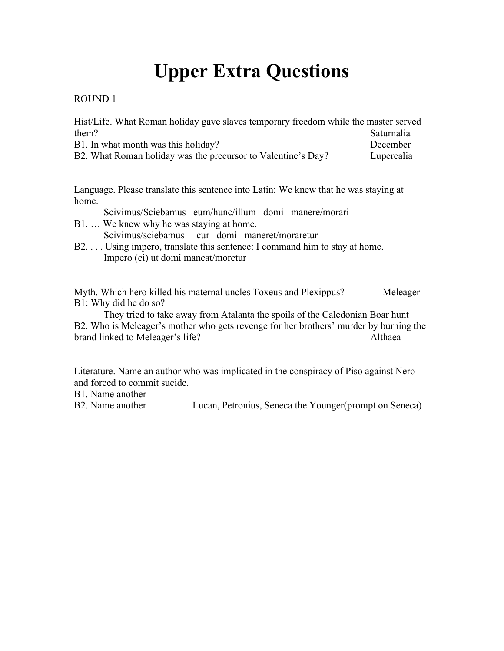# **Upper Extra Questions**

#### ROUND 1

| Hist/Life. What Roman holiday gave slaves temporary freedom while the master served |                   |
|-------------------------------------------------------------------------------------|-------------------|
| them?                                                                               | <b>Saturnalia</b> |
| B1. In what month was this holiday?                                                 | December          |
| B2. What Roman holiday was the precursor to Valentine's Day?                        | Lupercalia        |

Language. Please translate this sentence into Latin: We knew that he was staying at home.

Scivimus/Sciebamus eum/hunc/illum domi manere/morari

B1. … We knew why he was staying at home.

Scivimus/sciebamus cur domi maneret/moraretur

B2. . . . Using impero, translate this sentence: I command him to stay at home. Impero (ei) ut domi maneat/moretur

Myth. Which hero killed his maternal uncles Toxeus and Plexippus? Meleager B1: Why did he do so?

They tried to take away from Atalanta the spoils of the Caledonian Boar hunt B2. Who is Meleager's mother who gets revenge for her brothers' murder by burning the brand linked to Meleager's life? Althaea

Literature. Name an author who was implicated in the conspiracy of Piso against Nero and forced to commit sucide.

B1. Name another

B2. Name another Lucan, Petronius, Seneca the Younger(prompt on Seneca)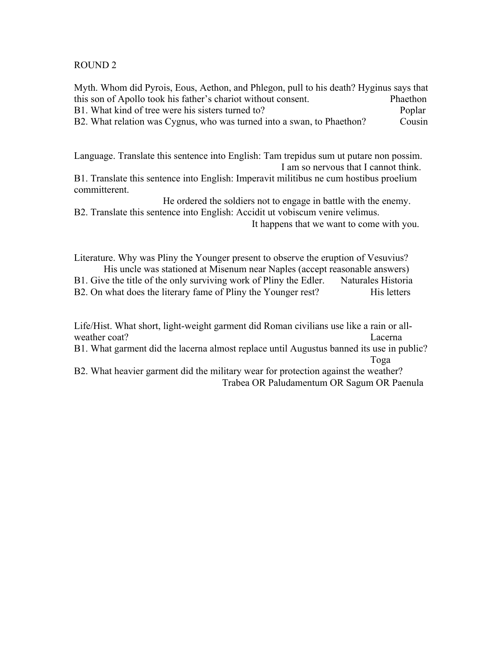#### ROUND 2

Myth. Whom did Pyrois, Eous, Aethon, and Phlegon, pull to his death? Hyginus says that this son of Apollo took his father's chariot without consent. Phaethon B1. What kind of tree were his sisters turned to? Poplar B2. What relation was Cygnus, who was turned into a swan, to Phaethon? Cousin

Language. Translate this sentence into English: Tam trepidus sum ut putare non possim. I am so nervous that I cannot think.

B1. Translate this sentence into English: Imperavit militibus ne cum hostibus proelium committerent.

He ordered the soldiers not to engage in battle with the enemy. B2. Translate this sentence into English: Accidit ut vobiscum venire velimus.

It happens that we want to come with you.

Literature. Why was Pliny the Younger present to observe the eruption of Vesuvius? His uncle was stationed at Misenum near Naples (accept reasonable answers)

B1. Give the title of the only surviving work of Pliny the Edler. Naturales Historia B2. On what does the literary fame of Pliny the Younger rest? His letters

Life/Hist. What short, light-weight garment did Roman civilians use like a rain or allweather coat? Lacerna

B1. What garment did the lacerna almost replace until Augustus banned its use in public? Toga

B2. What heavier garment did the military wear for protection against the weather? Trabea OR Paludamentum OR Sagum OR Paenula